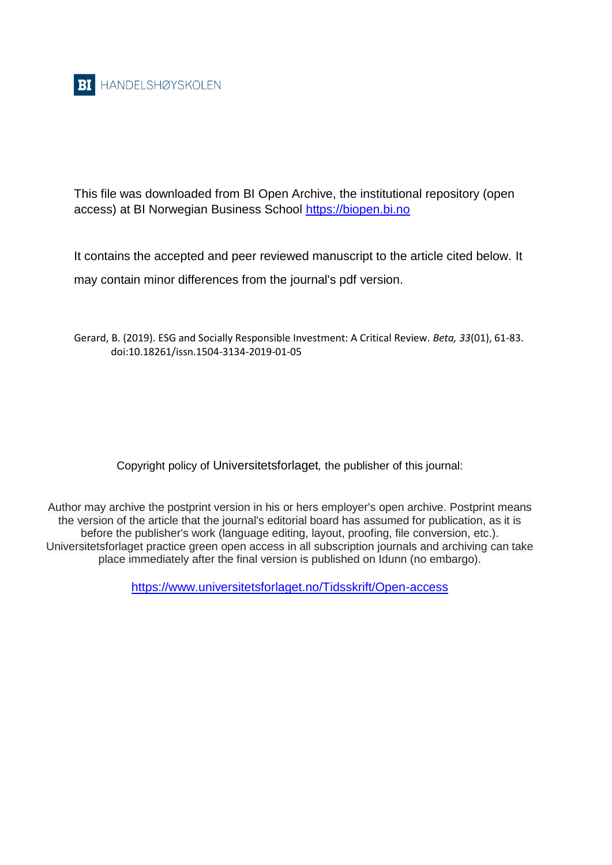

This file was downloaded from BI Open Archive, the institutional repository (open access) at BI Norwegian Business School [https://biopen.bi.no](https://biopen.bi.no/)

It contains the accepted and peer reviewed manuscript to the article cited below. It may contain minor differences from the journal's pdf version.

Gerard, B. (2019). ESG and Socially Responsible Investment: A Critical Review. *Beta, 33*(01), 61-83. doi:10.18261/issn.1504-3134-2019-01-05

Copyright policy of Universitetsforlaget*,* the publisher of this journal:

Author may archive the postprint version in his or hers employer's open archive. Postprint means the version of the article that the journal's editorial board has assumed for publication, as it is before the publisher's work (language editing, layout, proofing, file conversion, etc.). Universitetsforlaget practice green open access in all subscription journals and archiving can take place immediately after the final version is published on Idunn (no embargo).

<https://www.universitetsforlaget.no/Tidsskrift/Open-access>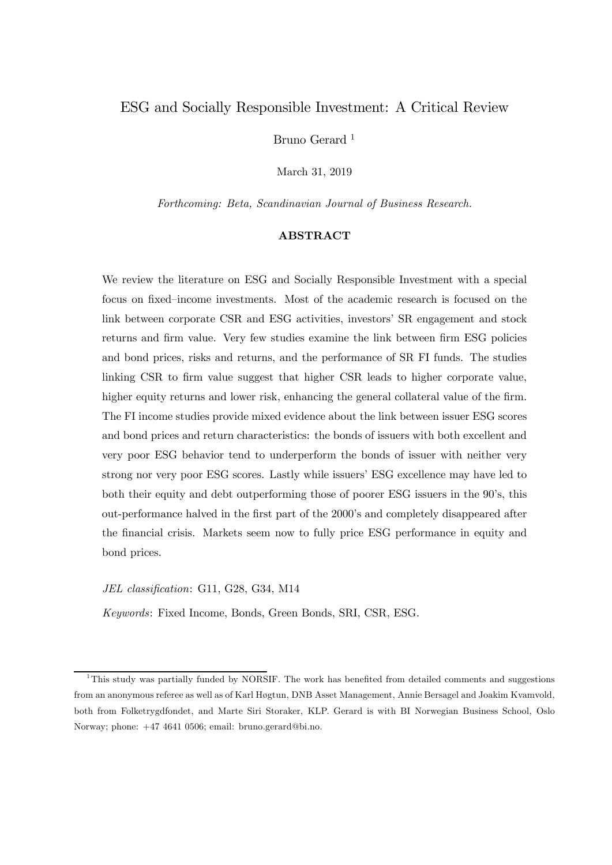# ESG and Socially Responsible Investment: A Critical Review

Bruno Gerard<sup>1</sup>

March 31, 2019

Forthcoming: Beta, Scandinavian Journal of Business Research.

# ABSTRACT

We review the literature on ESG and Socially Responsible Investment with a special focus on fixed—income investments. Most of the academic research is focused on the link between corporate CSR and ESG activities, investors' SR engagement and stock returns and firm value. Very few studies examine the link between firm ESG policies and bond prices, risks and returns, and the performance of SR FI funds. The studies linking CSR to firm value suggest that higher CSR leads to higher corporate value, higher equity returns and lower risk, enhancing the general collateral value of the firm. The FI income studies provide mixed evidence about the link between issuer ESG scores and bond prices and return characteristics: the bonds of issuers with both excellent and very poor ESG behavior tend to underperform the bonds of issuer with neither very strong nor very poor ESG scores. Lastly while issuers' ESG excellence may have led to both their equity and debt outperforming those of poorer ESG issuers in the 90's, this out-performance halved in the first part of the 2000's and completely disappeared after the financial crisis. Markets seem now to fully price ESG performance in equity and bond prices.

JEL classification: G11, G28, G34, M14

Keywords: Fixed Income, Bonds, Green Bonds, SRI, CSR, ESG.

 $1$ This study was partially funded by NORSIF. The work has benefited from detailed comments and suggestions from an anonymous referee as well as of Karl Høgtun, DNB Asset Management, Annie Bersagel and Joakim Kvamvold, both from Folketrygdfondet, and Marte Siri Storaker, KLP. Gerard is with BI Norwegian Business School, Oslo Norway; phone: +47 4641 0506; email: bruno.gerard@bi.no.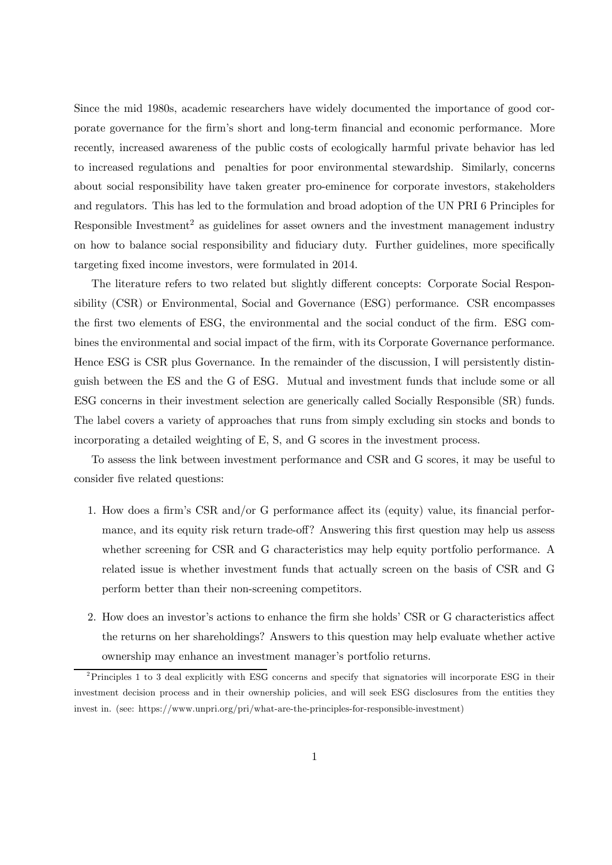Since the mid 1980s, academic researchers have widely documented the importance of good corporate governance for the firm's short and long-term financial and economic performance. More recently, increased awareness of the public costs of ecologically harmful private behavior has led to increased regulations and penalties for poor environmental stewardship. Similarly, concerns about social responsibility have taken greater pro-eminence for corporate investors, stakeholders and regulators. This has led to the formulation and broad adoption of the UN PRI 6 Principles for Responsible Investment<sup>2</sup> as guidelines for asset owners and the investment management industry on how to balance social responsibility and fiduciary duty. Further guidelines, more specifically targeting fixed income investors, were formulated in 2014.

The literature refers to two related but slightly different concepts: Corporate Social Responsibility (CSR) or Environmental, Social and Governance (ESG) performance. CSR encompasses the first two elements of ESG, the environmental and the social conduct of the firm. ESG combines the environmental and social impact of the firm, with its Corporate Governance performance. Hence ESG is CSR plus Governance. In the remainder of the discussion, I will persistently distinguish between the ES and the G of ESG. Mutual and investment funds that include some or all ESG concerns in their investment selection are generically called Socially Responsible (SR) funds. The label covers a variety of approaches that runs from simply excluding sin stocks and bonds to incorporating a detailed weighting of E, S, and G scores in the investment process.

To assess the link between investment performance and CSR and G scores, it may be useful to consider five related questions:

- 1. How does a firm's CSR and/or G performance affect its (equity) value, its financial performance, and its equity risk return trade-off? Answering this first question may help us assess whether screening for CSR and G characteristics may help equity portfolio performance. A related issue is whether investment funds that actually screen on the basis of CSR and G perform better than their non-screening competitors.
- 2. How does an investor's actions to enhance the firm she holds' CSR or G characteristics affect the returns on her shareholdings? Answers to this question may help evaluate whether active ownership may enhance an investment manager's portfolio returns.

<sup>2</sup>Principles 1 to 3 deal explicitly with ESG concerns and specify that signatories will incorporate ESG in their investment decision process and in their ownership policies, and will seek ESG disclosures from the entities they invest in. (see: https://www.unpri.org/pri/what-are-the-principles-for-responsible-investment)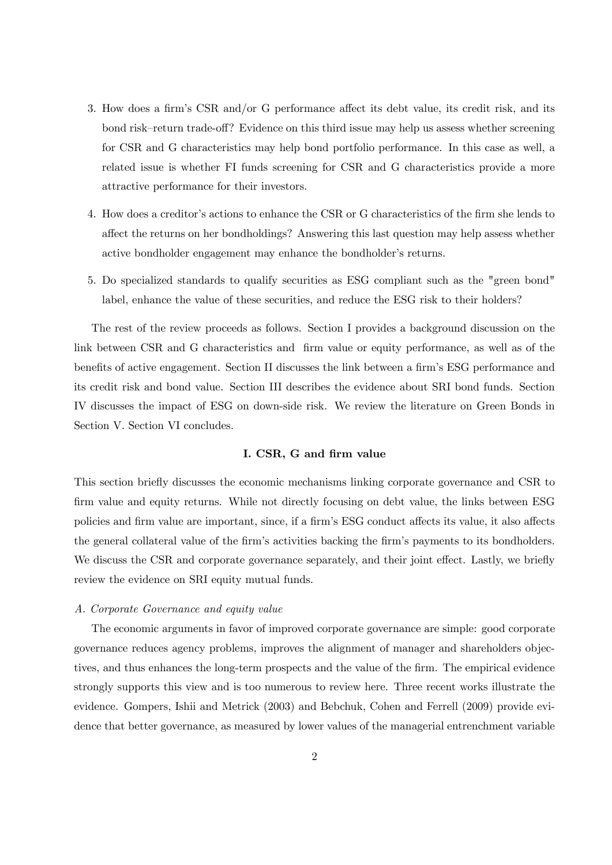- 3. How does a firm's CSR and/or G performance affect its debt value, its credit risk, and its bond risk—return trade-off? Evidence on this third issue may help us assess whether screening for CSR and G characteristics may help bond portfolio performance. In this case as well, a related issue is whether FI funds screening for CSR and G characteristics provide a more attractive performance for their investors.
- 4. How does a creditor's actions to enhance the CSR or G characteristics of the firm she lends to affect the returns on her bondholdings? Answering this last question may help assess whether active bondholder engagement may enhance the bondholder's returns.
- 5. Do specialized standards to qualify securities as ESG compliant such as the "green bond" label, enhance the value of these securities, and reduce the ESG risk to their holders?

The rest of the review proceeds as follows. Section I provides a background discussion on the link between CSR and G characteristics and firm value or equity performance, as well as of the benefits of active engagement. Section II discusses the link between a firm's ESG performance and its credit risk and bond value. Section III describes the evidence about SRI bond funds. Section IV discusses the impact of ESG on down-side risk. We review the literature on Green Bonds in Section V. Section VI concludes.

# I. CSR, G and firm value

This section briefly discusses the economic mechanisms linking corporate governance and CSR to firm value and equity returns. While not directly focusing on debt value, the links between ESG policies and firm value are important, since, if a firm's ESG conduct affects its value, it also affects the general collateral value of the firm's activities backing the firm's payments to its bondholders. We discuss the CSR and corporate governance separately, and their joint effect. Lastly, we briefly review the evidence on SRI equity mutual funds.

## A. Corporate Governance and equity value

The economic arguments in favor of improved corporate governance are simple: good corporate governance reduces agency problems, improves the alignment of manager and shareholders objectives, and thus enhances the long-term prospects and the value of the firm. The empirical evidence strongly supports this view and is too numerous to review here. Three recent works illustrate the evidence. Gompers, Ishii and Metrick (2003) and Bebchuk, Cohen and Ferrell (2009) provide evidence that better governance, as measured by lower values of the managerial entrenchment variable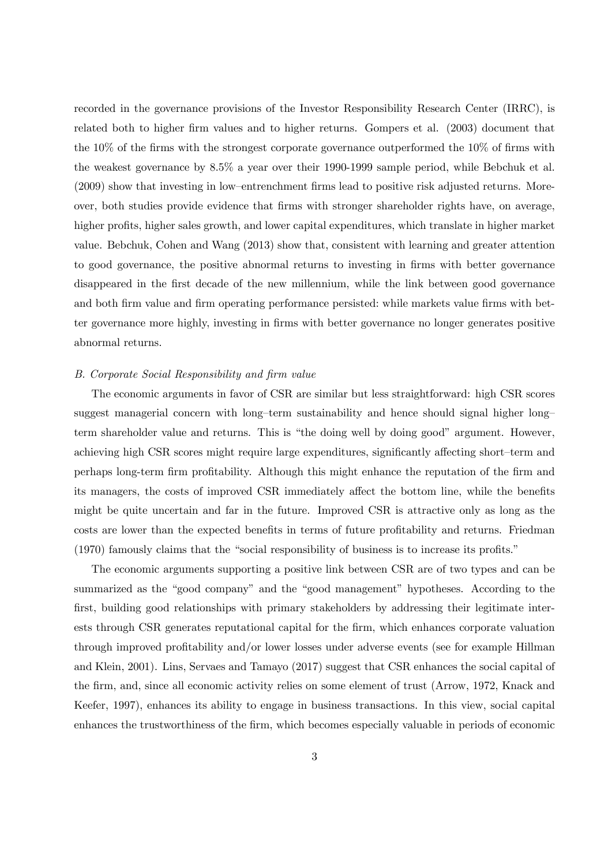recorded in the governance provisions of the Investor Responsibility Research Center (IRRC), is related both to higher firm values and to higher returns. Gompers et al. (2003) document that the 10% of the firms with the strongest corporate governance outperformed the 10% of firms with the weakest governance by 8.5% a year over their 1990-1999 sample period, while Bebchuk et al. (2009) show that investing in low—entrenchment firms lead to positive risk adjusted returns. Moreover, both studies provide evidence that firms with stronger shareholder rights have, on average, higher profits, higher sales growth, and lower capital expenditures, which translate in higher market value. Bebchuk, Cohen and Wang (2013) show that, consistent with learning and greater attention to good governance, the positive abnormal returns to investing in firms with better governance disappeared in the first decade of the new millennium, while the link between good governance and both firm value and firm operating performance persisted: while markets value firms with better governance more highly, investing in firms with better governance no longer generates positive abnormal returns.

## B. Corporate Social Responsibility and firm value

The economic arguments in favor of CSR are similar but less straightforward: high CSR scores suggest managerial concern with long—term sustainability and hence should signal higher long term shareholder value and returns. This is "the doing well by doing good" argument. However, achieving high CSR scores might require large expenditures, significantly affecting short—term and perhaps long-term firm profitability. Although this might enhance the reputation of the firm and its managers, the costs of improved CSR immediately affect the bottom line, while the benefits might be quite uncertain and far in the future. Improved CSR is attractive only as long as the costs are lower than the expected benefits in terms of future profitability and returns. Friedman (1970) famously claims that the "social responsibility of business is to increase its profits."

The economic arguments supporting a positive link between CSR are of two types and can be summarized as the "good company" and the "good management" hypotheses. According to the first, building good relationships with primary stakeholders by addressing their legitimate interests through CSR generates reputational capital for the firm, which enhances corporate valuation through improved profitability and/or lower losses under adverse events (see for example Hillman and Klein, 2001). Lins, Servaes and Tamayo (2017) suggest that CSR enhances the social capital of the firm, and, since all economic activity relies on some element of trust (Arrow, 1972, Knack and Keefer, 1997), enhances its ability to engage in business transactions. In this view, social capital enhances the trustworthiness of the firm, which becomes especially valuable in periods of economic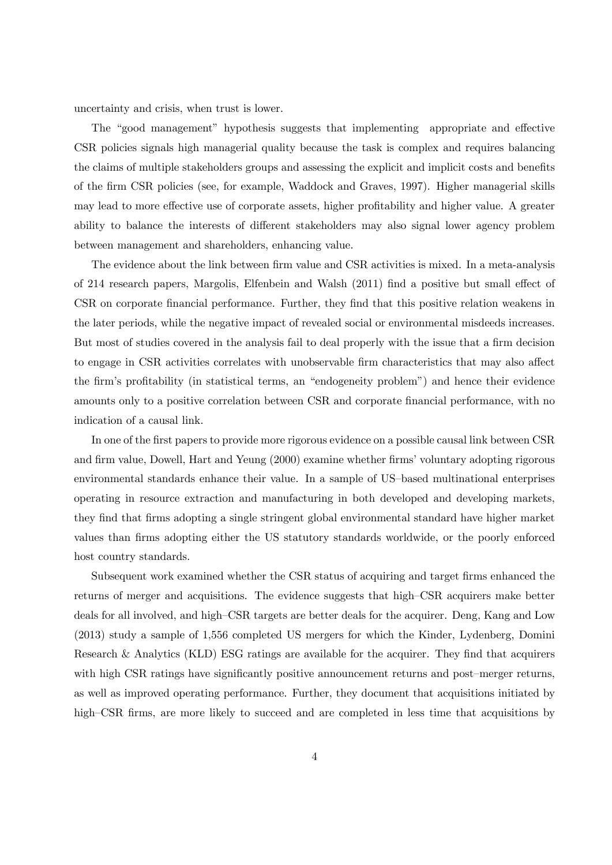uncertainty and crisis, when trust is lower.

The "good management" hypothesis suggests that implementing appropriate and effective CSR policies signals high managerial quality because the task is complex and requires balancing the claims of multiple stakeholders groups and assessing the explicit and implicit costs and benefits of the firm CSR policies (see, for example, Waddock and Graves, 1997). Higher managerial skills may lead to more effective use of corporate assets, higher profitability and higher value. A greater ability to balance the interests of different stakeholders may also signal lower agency problem between management and shareholders, enhancing value.

The evidence about the link between firm value and CSR activities is mixed. In a meta-analysis of 214 research papers, Margolis, Elfenbein and Walsh (2011) find a positive but small effect of CSR on corporate financial performance. Further, they find that this positive relation weakens in the later periods, while the negative impact of revealed social or environmental misdeeds increases. But most of studies covered in the analysis fail to deal properly with the issue that a firm decision to engage in CSR activities correlates with unobservable firm characteristics that may also affect the firm's profitability (in statistical terms, an "endogeneity problem") and hence their evidence amounts only to a positive correlation between CSR and corporate financial performance, with no indication of a causal link.

In one of the first papers to provide more rigorous evidence on a possible causal link between CSR and firm value, Dowell, Hart and Yeung (2000) examine whether firms' voluntary adopting rigorous environmental standards enhance their value. In a sample of US—based multinational enterprises operating in resource extraction and manufacturing in both developed and developing markets, they find that firms adopting a single stringent global environmental standard have higher market values than firms adopting either the US statutory standards worldwide, or the poorly enforced host country standards.

Subsequent work examined whether the CSR status of acquiring and target firms enhanced the returns of merger and acquisitions. The evidence suggests that high—CSR acquirers make better deals for all involved, and high—CSR targets are better deals for the acquirer. Deng, Kang and Low (2013) study a sample of 1,556 completed US mergers for which the Kinder, Lydenberg, Domini Research & Analytics (KLD) ESG ratings are available for the acquirer. They find that acquirers with high CSR ratings have significantly positive announcement returns and post—merger returns, as well as improved operating performance. Further, they document that acquisitions initiated by high–CSR firms, are more likely to succeed and are completed in less time that acquisitions by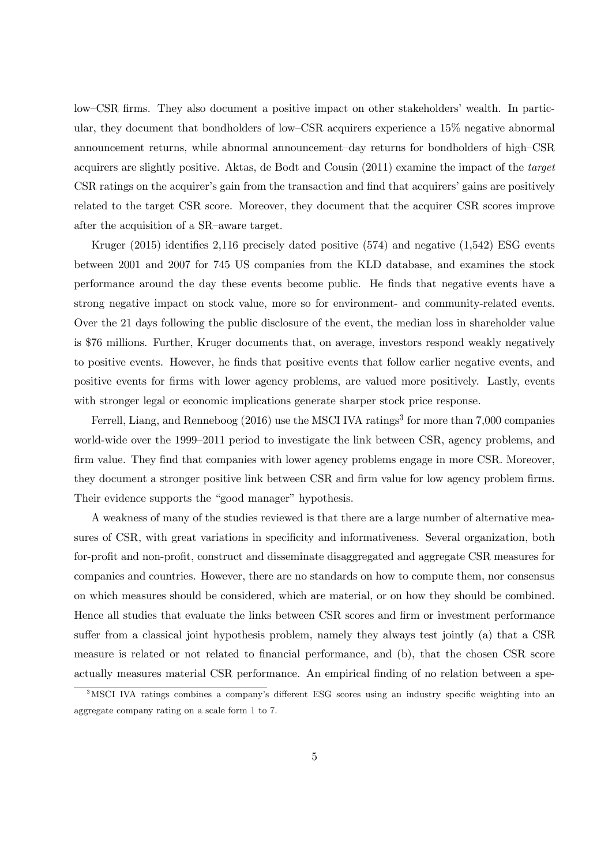low—CSR firms. They also document a positive impact on other stakeholders' wealth. In particular, they document that bondholders of low—CSR acquirers experience a 15% negative abnormal announcement returns, while abnormal announcement—day returns for bondholders of high—CSR acquirers are slightly positive. Aktas, de Bodt and Cousin (2011) examine the impact of the target CSR ratings on the acquirer's gain from the transaction and find that acquirers' gains are positively related to the target CSR score. Moreover, they document that the acquirer CSR scores improve after the acquisition of a SR—aware target.

Kruger (2015) identifies 2,116 precisely dated positive (574) and negative (1,542) ESG events between 2001 and 2007 for 745 US companies from the KLD database, and examines the stock performance around the day these events become public. He finds that negative events have a strong negative impact on stock value, more so for environment- and community-related events. Over the 21 days following the public disclosure of the event, the median loss in shareholder value is \$76 millions. Further, Kruger documents that, on average, investors respond weakly negatively to positive events. However, he finds that positive events that follow earlier negative events, and positive events for firms with lower agency problems, are valued more positively. Lastly, events with stronger legal or economic implications generate sharper stock price response.

Ferrell, Liang, and Renneboog  $(2016)$  use the MSCI IVA ratings<sup>3</sup> for more than 7,000 companies world-wide over the 1999—2011 period to investigate the link between CSR, agency problems, and firm value. They find that companies with lower agency problems engage in more CSR. Moreover, they document a stronger positive link between CSR and firm value for low agency problem firms. Their evidence supports the "good manager" hypothesis.

A weakness of many of the studies reviewed is that there are a large number of alternative measures of CSR, with great variations in specificity and informativeness. Several organization, both for-profit and non-profit, construct and disseminate disaggregated and aggregate CSR measures for companies and countries. However, there are no standards on how to compute them, nor consensus on which measures should be considered, which are material, or on how they should be combined. Hence all studies that evaluate the links between CSR scores and firm or investment performance suffer from a classical joint hypothesis problem, namely they always test jointly (a) that a CSR measure is related or not related to financial performance, and (b), that the chosen CSR score actually measures material CSR performance. An empirical finding of no relation between a spe-

<sup>&</sup>lt;sup>3</sup>MSCI IVA ratings combines a company's different ESG scores using an industry specific weighting into an aggregate company rating on a scale form 1 to 7.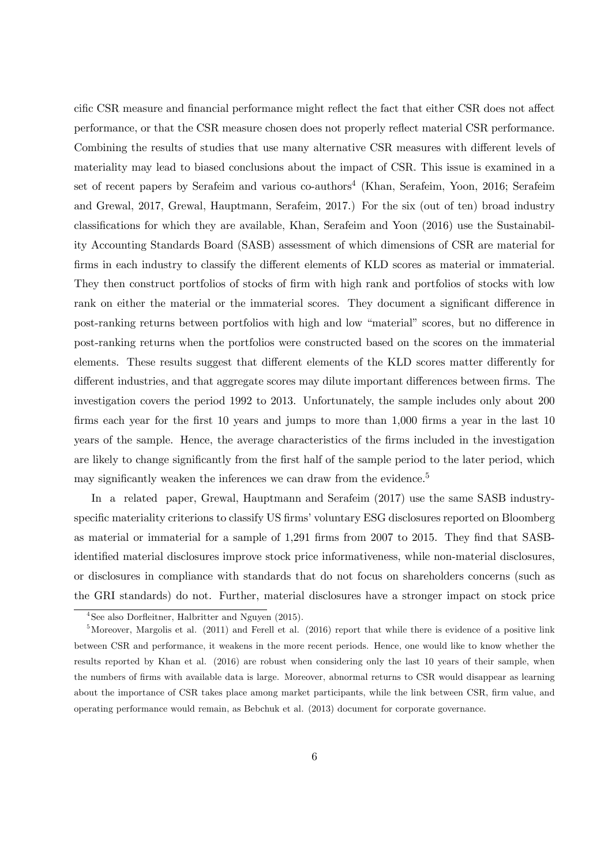cific CSR measure and financial performance might reflect the fact that either CSR does not affect performance, or that the CSR measure chosen does not properly reflect material CSR performance. Combining the results of studies that use many alternative CSR measures with different levels of materiality may lead to biased conclusions about the impact of CSR. This issue is examined in a set of recent papers by Serafeim and various co-authors4 (Khan, Serafeim, Yoon, 2016; Serafeim and Grewal, 2017, Grewal, Hauptmann, Serafeim, 2017.) For the six (out of ten) broad industry classifications for which they are available, Khan, Serafeim and Yoon (2016) use the Sustainability Accounting Standards Board (SASB) assessment of which dimensions of CSR are material for firms in each industry to classify the different elements of KLD scores as material or immaterial. They then construct portfolios of stocks of firm with high rank and portfolios of stocks with low rank on either the material or the immaterial scores. They document a significant difference in post-ranking returns between portfolios with high and low "material" scores, but no difference in post-ranking returns when the portfolios were constructed based on the scores on the immaterial elements. These results suggest that different elements of the KLD scores matter differently for different industries, and that aggregate scores may dilute important differences between firms. The investigation covers the period 1992 to 2013. Unfortunately, the sample includes only about 200 firms each year for the first 10 years and jumps to more than 1,000 firms a year in the last 10 years of the sample. Hence, the average characteristics of the firms included in the investigation are likely to change significantly from the first half of the sample period to the later period, which may significantly weaken the inferences we can draw from the evidence.<sup>5</sup>

In a related paper, Grewal, Hauptmann and Serafeim (2017) use the same SASB industryspecific materiality criterions to classify US firms' voluntary ESG disclosures reported on Bloomberg as material or immaterial for a sample of 1,291 firms from 2007 to 2015. They find that SASBidentified material disclosures improve stock price informativeness, while non-material disclosures, or disclosures in compliance with standards that do not focus on shareholders concerns (such as the GRI standards) do not. Further, material disclosures have a stronger impact on stock price

 $4$ See also Dorfleitner, Halbritter and Nguyen (2015).

 $5$ Moreover, Margolis et al. (2011) and Ferell et al. (2016) report that while there is evidence of a positive link between CSR and performance, it weakens in the more recent periods. Hence, one would like to know whether the results reported by Khan et al. (2016) are robust when considering only the last 10 years of their sample, when the numbers of firms with available data is large. Moreover, abnormal returns to CSR would disappear as learning about the importance of CSR takes place among market participants, while the link between CSR, firm value, and operating performance would remain, as Bebchuk et al. (2013) document for corporate governance.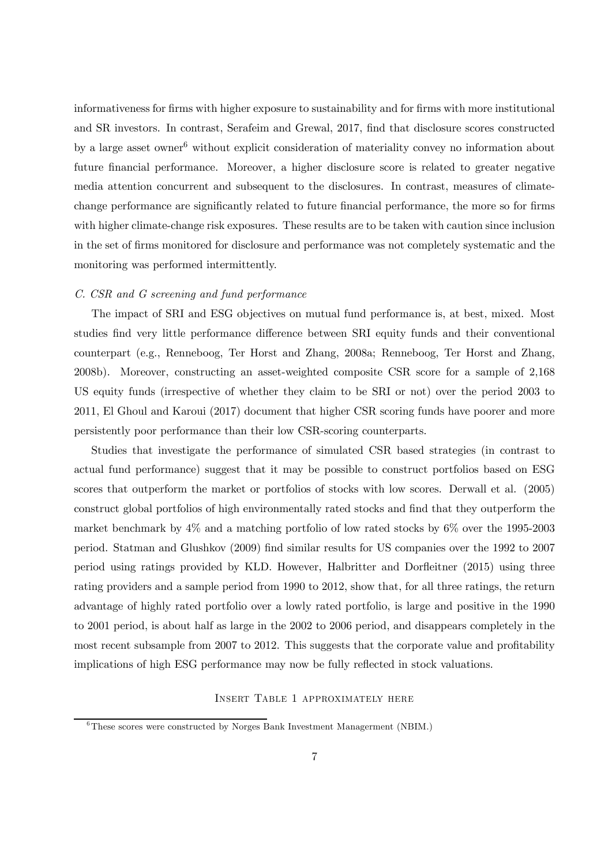informativeness for firms with higher exposure to sustainability and for firms with more institutional and SR investors. In contrast, Serafeim and Grewal, 2017, find that disclosure scores constructed by a large asset owner<sup>6</sup> without explicit consideration of materiality convey no information about future financial performance. Moreover, a higher disclosure score is related to greater negative media attention concurrent and subsequent to the disclosures. In contrast, measures of climatechange performance are significantly related to future financial performance, the more so for firms with higher climate-change risk exposures. These results are to be taken with caution since inclusion in the set of firms monitored for disclosure and performance was not completely systematic and the monitoring was performed intermittently.

## C. CSR and G screening and fund performance

The impact of SRI and ESG objectives on mutual fund performance is, at best, mixed. Most studies find very little performance difference between SRI equity funds and their conventional counterpart (e.g., Renneboog, Ter Horst and Zhang, 2008a; Renneboog, Ter Horst and Zhang, 2008b). Moreover, constructing an asset-weighted composite CSR score for a sample of 2,168 US equity funds (irrespective of whether they claim to be SRI or not) over the period 2003 to 2011, El Ghoul and Karoui (2017) document that higher CSR scoring funds have poorer and more persistently poor performance than their low CSR-scoring counterparts.

Studies that investigate the performance of simulated CSR based strategies (in contrast to actual fund performance) suggest that it may be possible to construct portfolios based on ESG scores that outperform the market or portfolios of stocks with low scores. Derwall et al. (2005) construct global portfolios of high environmentally rated stocks and find that they outperform the market benchmark by 4% and a matching portfolio of low rated stocks by 6% over the 1995-2003 period. Statman and Glushkov (2009) find similar results for US companies over the 1992 to 2007 period using ratings provided by KLD. However, Halbritter and Dorfleitner (2015) using three rating providers and a sample period from 1990 to 2012, show that, for all three ratings, the return advantage of highly rated portfolio over a lowly rated portfolio, is large and positive in the 1990 to 2001 period, is about half as large in the 2002 to 2006 period, and disappears completely in the most recent subsample from 2007 to 2012. This suggests that the corporate value and profitability implications of high ESG performance may now be fully reflected in stock valuations.

# Insert Table 1 approximately here

<sup>&</sup>lt;sup>6</sup>These scores were constructed by Norges Bank Investment Managerment (NBIM.)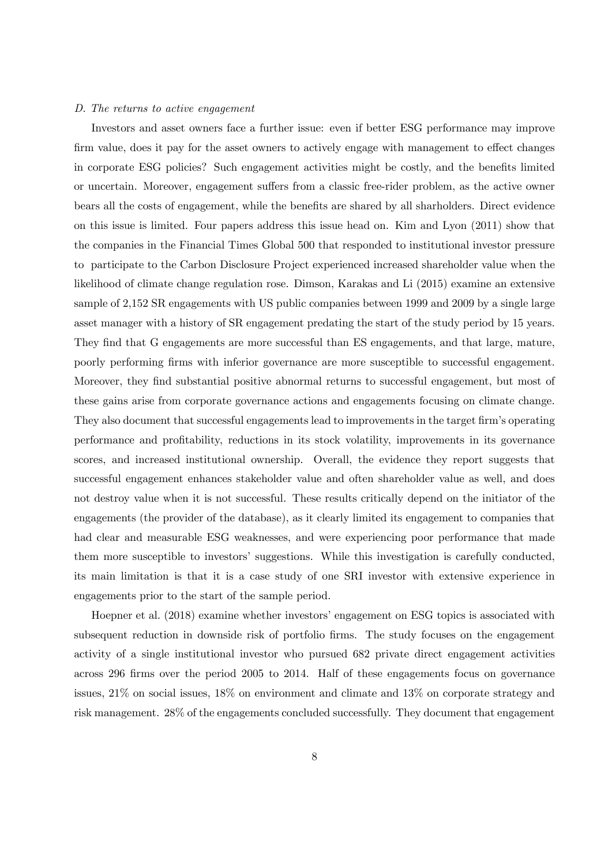#### D. The returns to active engagement

Investors and asset owners face a further issue: even if better ESG performance may improve firm value, does it pay for the asset owners to actively engage with management to effect changes in corporate ESG policies? Such engagement activities might be costly, and the benefits limited or uncertain. Moreover, engagement suffers from a classic free-rider problem, as the active owner bears all the costs of engagement, while the benefits are shared by all sharholders. Direct evidence on this issue is limited. Four papers address this issue head on. Kim and Lyon (2011) show that the companies in the Financial Times Global 500 that responded to institutional investor pressure to participate to the Carbon Disclosure Project experienced increased shareholder value when the likelihood of climate change regulation rose. Dimson, Karakas and Li (2015) examine an extensive sample of 2,152 SR engagements with US public companies between 1999 and 2009 by a single large asset manager with a history of SR engagement predating the start of the study period by 15 years. They find that G engagements are more successful than ES engagements, and that large, mature, poorly performing firms with inferior governance are more susceptible to successful engagement. Moreover, they find substantial positive abnormal returns to successful engagement, but most of these gains arise from corporate governance actions and engagements focusing on climate change. They also document that successful engagements lead to improvements in the target firm's operating performance and profitability, reductions in its stock volatility, improvements in its governance scores, and increased institutional ownership. Overall, the evidence they report suggests that successful engagement enhances stakeholder value and often shareholder value as well, and does not destroy value when it is not successful. These results critically depend on the initiator of the engagements (the provider of the database), as it clearly limited its engagement to companies that had clear and measurable ESG weaknesses, and were experiencing poor performance that made them more susceptible to investors' suggestions. While this investigation is carefully conducted, its main limitation is that it is a case study of one SRI investor with extensive experience in engagements prior to the start of the sample period.

Hoepner et al.  $(2018)$  examine whether investors' engagement on ESG topics is associated with subsequent reduction in downside risk of portfolio firms. The study focuses on the engagement activity of a single institutional investor who pursued 682 private direct engagement activities across 296 firms over the period 2005 to 2014. Half of these engagements focus on governance issues, 21% on social issues, 18% on environment and climate and 13% on corporate strategy and risk management. 28% of the engagements concluded successfully. They document that engagement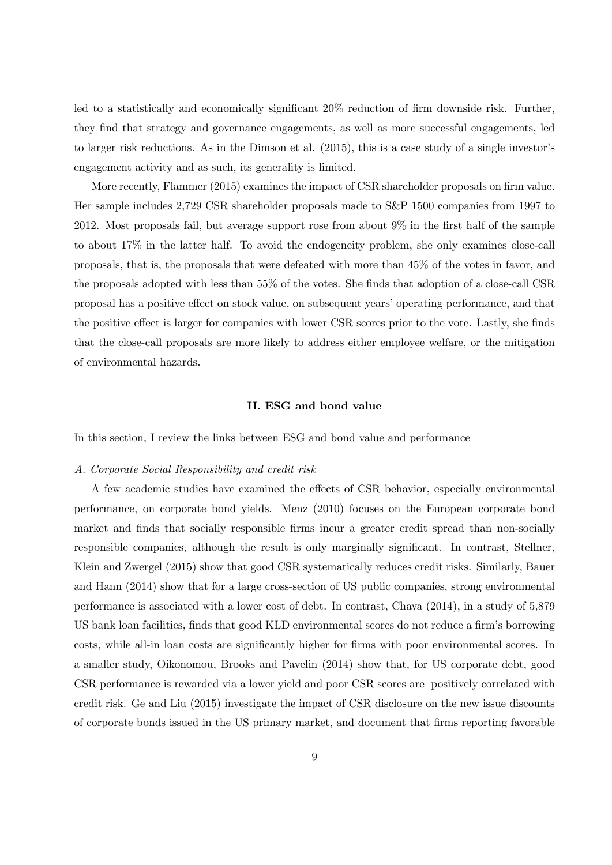led to a statistically and economically significant 20% reduction of firm downside risk. Further, they find that strategy and governance engagements, as well as more successful engagements, led to larger risk reductions. As in the Dimson et al. (2015), this is a case study of a single investor's engagement activity and as such, its generality is limited.

More recently, Flammer (2015) examines the impact of CSR shareholder proposals on firm value. Her sample includes 2,729 CSR shareholder proposals made to S&P 1500 companies from 1997 to 2012. Most proposals fail, but average support rose from about 9% in the first half of the sample to about 17% in the latter half. To avoid the endogeneity problem, she only examines close-call proposals, that is, the proposals that were defeated with more than 45% of the votes in favor, and the proposals adopted with less than 55% of the votes. She finds that adoption of a close-call CSR proposal has a positive effect on stock value, on subsequent years' operating performance, and that the positive effect is larger for companies with lower CSR scores prior to the vote. Lastly, she finds that the close-call proposals are more likely to address either employee welfare, or the mitigation of environmental hazards.

#### II. ESG and bond value

In this section, I review the links between ESG and bond value and performance

## A. Corporate Social Responsibility and credit risk

A few academic studies have examined the effects of CSR behavior, especially environmental performance, on corporate bond yields. Menz (2010) focuses on the European corporate bond market and finds that socially responsible firms incur a greater credit spread than non-socially responsible companies, although the result is only marginally significant. In contrast, Stellner, Klein and Zwergel (2015) show that good CSR systematically reduces credit risks. Similarly, Bauer and Hann (2014) show that for a large cross-section of US public companies, strong environmental performance is associated with a lower cost of debt. In contrast, Chava (2014), in a study of 5,879 US bank loan facilities, finds that good KLD environmental scores do not reduce a firm's borrowing costs, while all-in loan costs are significantly higher for firms with poor environmental scores. In a smaller study, Oikonomou, Brooks and Pavelin (2014) show that, for US corporate debt, good CSR performance is rewarded via a lower yield and poor CSR scores are positively correlated with credit risk. Ge and Liu (2015) investigate the impact of CSR disclosure on the new issue discounts of corporate bonds issued in the US primary market, and document that firms reporting favorable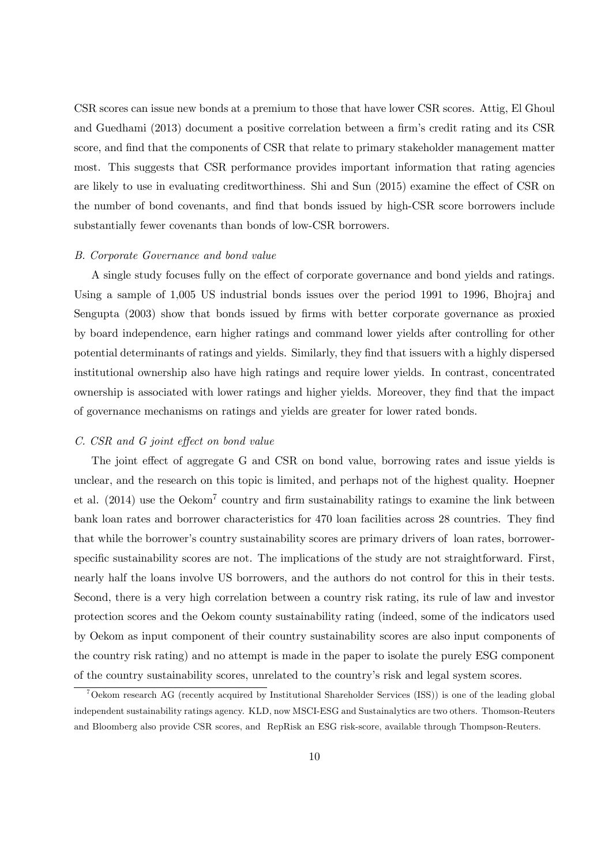CSR scores can issue new bonds at a premium to those that have lower CSR scores. Attig, El Ghoul and Guedhami (2013) document a positive correlation between a firm's credit rating and its CSR score, and find that the components of CSR that relate to primary stakeholder management matter most. This suggests that CSR performance provides important information that rating agencies are likely to use in evaluating creditworthiness. Shi and Sun (2015) examine the effect of CSR on the number of bond covenants, and find that bonds issued by high-CSR score borrowers include substantially fewer covenants than bonds of low-CSR borrowers.

#### B. Corporate Governance and bond value

A single study focuses fully on the effect of corporate governance and bond yields and ratings. Using a sample of 1,005 US industrial bonds issues over the period 1991 to 1996, Bhojraj and Sengupta (2003) show that bonds issued by firms with better corporate governance as proxied by board independence, earn higher ratings and command lower yields after controlling for other potential determinants of ratings and yields. Similarly, they find that issuers with a highly dispersed institutional ownership also have high ratings and require lower yields. In contrast, concentrated ownership is associated with lower ratings and higher yields. Moreover, they find that the impact of governance mechanisms on ratings and yields are greater for lower rated bonds.

## C. CSR and G joint effect on bond value

The joint effect of aggregate G and CSR on bond value, borrowing rates and issue yields is unclear, and the research on this topic is limited, and perhaps not of the highest quality. Hoepner et al. (2014) use the Oekom7 country and firm sustainability ratings to examine the link between bank loan rates and borrower characteristics for 470 loan facilities across 28 countries. They find that while the borrower's country sustainability scores are primary drivers of loan rates, borrowerspecific sustainability scores are not. The implications of the study are not straightforward. First, nearly half the loans involve US borrowers, and the authors do not control for this in their tests. Second, there is a very high correlation between a country risk rating, its rule of law and investor protection scores and the Oekom county sustainability rating (indeed, some of the indicators used by Oekom as input component of their country sustainability scores are also input components of the country risk rating) and no attempt is made in the paper to isolate the purely ESG component of the country sustainability scores, unrelated to the country's risk and legal system scores.

<sup>7</sup>Oekom research AG (recently acquired by Institutional Shareholder Services (ISS)) is one of the leading global independent sustainability ratings agency. KLD, now MSCI-ESG and Sustainalytics are two others. Thomson-Reuters and Bloomberg also provide CSR scores, and RepRisk an ESG risk-score, available through Thompson-Reuters.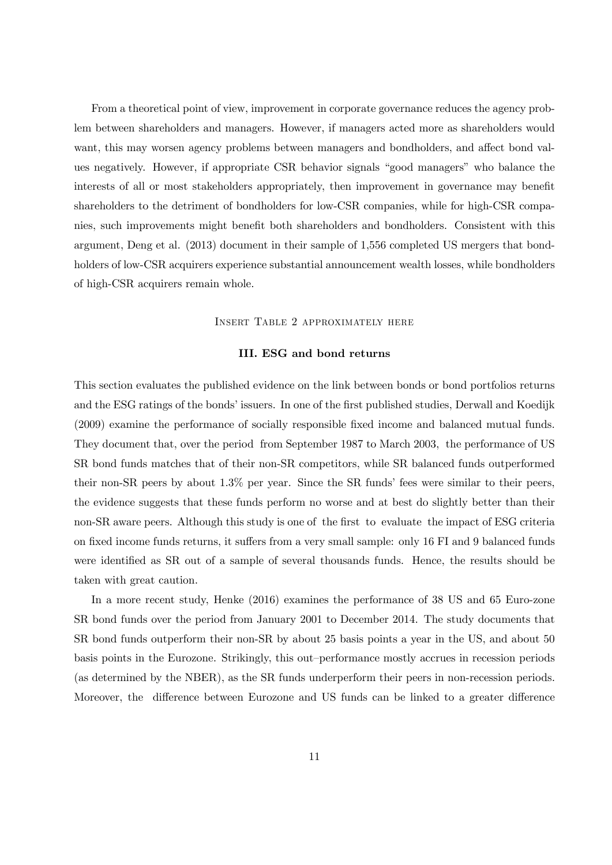From a theoretical point of view, improvement in corporate governance reduces the agency problem between shareholders and managers. However, if managers acted more as shareholders would want, this may worsen agency problems between managers and bondholders, and affect bond values negatively. However, if appropriate CSR behavior signals "good managers" who balance the interests of all or most stakeholders appropriately, then improvement in governance may benefit shareholders to the detriment of bondholders for low-CSR companies, while for high-CSR companies, such improvements might benefit both shareholders and bondholders. Consistent with this argument, Deng et al. (2013) document in their sample of 1,556 completed US mergers that bondholders of low-CSR acquirers experience substantial announcement wealth losses, while bondholders of high-CSR acquirers remain whole.

Insert Table 2 approximately here

## III. ESG and bond returns

This section evaluates the published evidence on the link between bonds or bond portfolios returns and the ESG ratings of the bonds' issuers. In one of the first published studies, Derwall and Koedijk (2009) examine the performance of socially responsible fixed income and balanced mutual funds. They document that, over the period from September 1987 to March 2003, the performance of US SR bond funds matches that of their non-SR competitors, while SR balanced funds outperformed their non-SR peers by about 1.3% per year. Since the SR funds' fees were similar to their peers, the evidence suggests that these funds perform no worse and at best do slightly better than their non-SR aware peers. Although this study is one of the first to evaluate the impact of ESG criteria on fixed income funds returns, it suffers from a very small sample: only 16 FI and 9 balanced funds were identified as SR out of a sample of several thousands funds. Hence, the results should be taken with great caution.

In a more recent study, Henke (2016) examines the performance of 38 US and 65 Euro-zone SR bond funds over the period from January 2001 to December 2014. The study documents that SR bond funds outperform their non-SR by about 25 basis points a year in the US, and about 50 basis points in the Eurozone. Strikingly, this out—performance mostly accrues in recession periods (as determined by the NBER), as the SR funds underperform their peers in non-recession periods. Moreover, the difference between Eurozone and US funds can be linked to a greater difference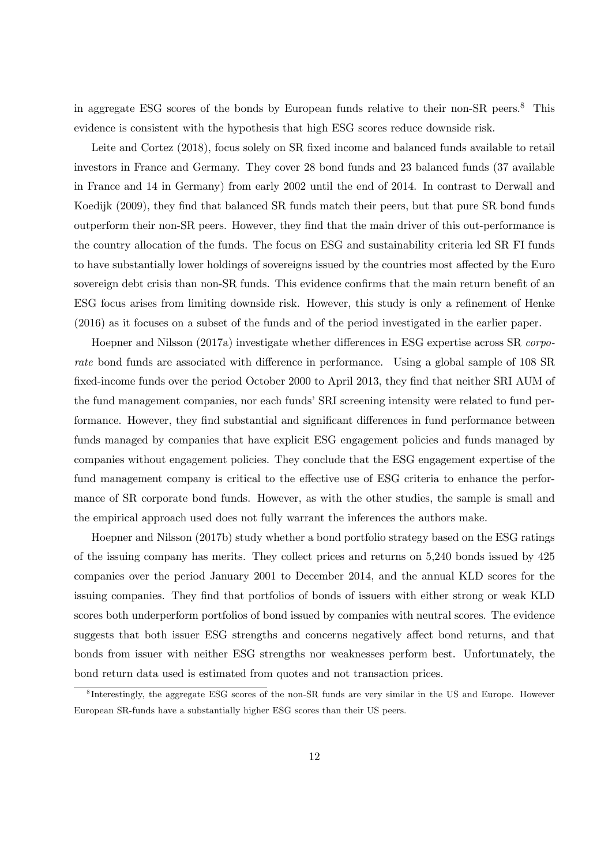in aggregate ESG scores of the bonds by European funds relative to their non-SR peers.8 This evidence is consistent with the hypothesis that high ESG scores reduce downside risk.

Leite and Cortez (2018), focus solely on SR fixed income and balanced funds available to retail investors in France and Germany. They cover 28 bond funds and 23 balanced funds (37 available in France and 14 in Germany) from early 2002 until the end of 2014. In contrast to Derwall and Koedijk (2009), they find that balanced SR funds match their peers, but that pure SR bond funds outperform their non-SR peers. However, they find that the main driver of this out-performance is the country allocation of the funds. The focus on ESG and sustainability criteria led SR FI funds to have substantially lower holdings of sovereigns issued by the countries most affected by the Euro sovereign debt crisis than non-SR funds. This evidence confirms that the main return benefit of an ESG focus arises from limiting downside risk. However, this study is only a refinement of Henke (2016) as it focuses on a subset of the funds and of the period investigated in the earlier paper.

Hoepner and Nilsson (2017a) investigate whether differences in ESG expertise across SR corporate bond funds are associated with difference in performance. Using a global sample of 108 SR fixed-income funds over the period October 2000 to April 2013, they find that neither SRI AUM of the fund management companies, nor each funds' SRI screening intensity were related to fund performance. However, they find substantial and significant differences in fund performance between funds managed by companies that have explicit ESG engagement policies and funds managed by companies without engagement policies. They conclude that the ESG engagement expertise of the fund management company is critical to the effective use of ESG criteria to enhance the performance of SR corporate bond funds. However, as with the other studies, the sample is small and the empirical approach used does not fully warrant the inferences the authors make.

Hoepner and Nilsson (2017b) study whether a bond portfolio strategy based on the ESG ratings of the issuing company has merits. They collect prices and returns on 5,240 bonds issued by 425 companies over the period January 2001 to December 2014, and the annual KLD scores for the issuing companies. They find that portfolios of bonds of issuers with either strong or weak KLD scores both underperform portfolios of bond issued by companies with neutral scores. The evidence suggests that both issuer ESG strengths and concerns negatively affect bond returns, and that bonds from issuer with neither ESG strengths nor weaknesses perform best. Unfortunately, the bond return data used is estimated from quotes and not transaction prices.

<sup>8</sup> Interestingly, the aggregate ESG scores of the non-SR funds are very similar in the US and Europe. However European SR-funds have a substantially higher ESG scores than their US peers.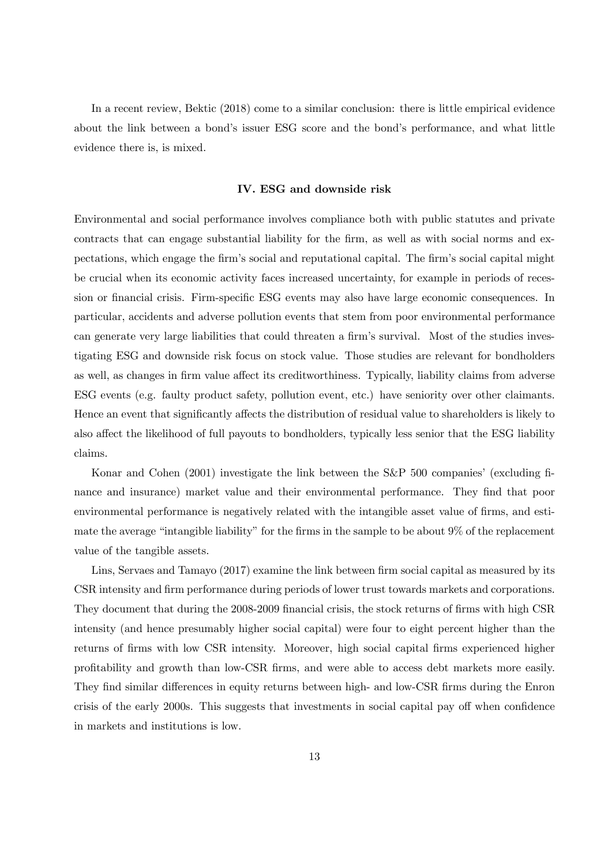In a recent review, Bektic (2018) come to a similar conclusion: there is little empirical evidence about the link between a bond's issuer ESG score and the bond's performance, and what little evidence there is, is mixed.

# IV. ESG and downside risk

Environmental and social performance involves compliance both with public statutes and private contracts that can engage substantial liability for the firm, as well as with social norms and expectations, which engage the firm's social and reputational capital. The firm's social capital might be crucial when its economic activity faces increased uncertainty, for example in periods of recession or financial crisis. Firm-specific ESG events may also have large economic consequences. In particular, accidents and adverse pollution events that stem from poor environmental performance can generate very large liabilities that could threaten a firm's survival. Most of the studies investigating ESG and downside risk focus on stock value. Those studies are relevant for bondholders as well, as changes in firm value affect its creditworthiness. Typically, liability claims from adverse ESG events (e.g. faulty product safety, pollution event, etc.) have seniority over other claimants. Hence an event that significantly affects the distribution of residual value to shareholders is likely to also affect the likelihood of full payouts to bondholders, typically less senior that the ESG liability claims.

Konar and Cohen (2001) investigate the link between the S&P 500 companies' (excluding finance and insurance) market value and their environmental performance. They find that poor environmental performance is negatively related with the intangible asset value of firms, and estimate the average "intangible liability" for the firms in the sample to be about 9% of the replacement value of the tangible assets.

Lins, Servaes and Tamayo (2017) examine the link between firm social capital as measured by its CSR intensity and firm performance during periods of lower trust towards markets and corporations. They document that during the 2008-2009 financial crisis, the stock returns of firms with high CSR intensity (and hence presumably higher social capital) were four to eight percent higher than the returns of firms with low CSR intensity. Moreover, high social capital firms experienced higher profitability and growth than low-CSR firms, and were able to access debt markets more easily. They find similar differences in equity returns between high- and low-CSR firms during the Enron crisis of the early 2000s. This suggests that investments in social capital pay off when confidence in markets and institutions is low.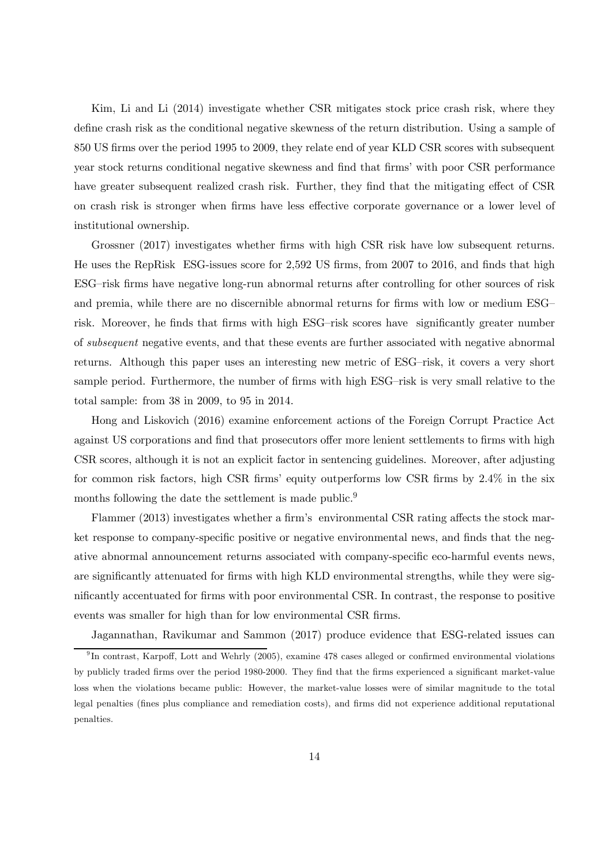Kim, Li and Li (2014) investigate whether CSR mitigates stock price crash risk, where they define crash risk as the conditional negative skewness of the return distribution. Using a sample of 850 US firms over the period 1995 to 2009, they relate end of year KLD CSR scores with subsequent year stock returns conditional negative skewness and find that firms' with poor CSR performance have greater subsequent realized crash risk. Further, they find that the mitigating effect of CSR on crash risk is stronger when firms have less effective corporate governance or a lower level of institutional ownership.

Grossner (2017) investigates whether firms with high CSR risk have low subsequent returns. He uses the RepRisk ESG-issues score for 2,592 US firms, from 2007 to 2016, and finds that high ESG—risk firms have negative long-run abnormal returns after controlling for other sources of risk and premia, while there are no discernible abnormal returns for firms with low or medium ESG risk. Moreover, he finds that firms with high ESG—risk scores have significantly greater number of subsequent negative events, and that these events are further associated with negative abnormal returns. Although this paper uses an interesting new metric of ESG—risk, it covers a very short sample period. Furthermore, the number of firms with high ESG—risk is very small relative to the total sample: from 38 in 2009, to 95 in 2014.

Hong and Liskovich (2016) examine enforcement actions of the Foreign Corrupt Practice Act against US corporations and find that prosecutors offer more lenient settlements to firms with high CSR scores, although it is not an explicit factor in sentencing guidelines. Moreover, after adjusting for common risk factors, high CSR firms' equity outperforms low CSR firms by 2.4% in the six months following the date the settlement is made public.<sup>9</sup>

Flammer (2013) investigates whether a firm's environmental CSR rating affects the stock market response to company-specific positive or negative environmental news, and finds that the negative abnormal announcement returns associated with company-specific eco-harmful events news, are significantly attenuated for firms with high KLD environmental strengths, while they were significantly accentuated for firms with poor environmental CSR. In contrast, the response to positive events was smaller for high than for low environmental CSR firms.

Jagannathan, Ravikumar and Sammon (2017) produce evidence that ESG-related issues can

 $9$ In contrast, Karpoff, Lott and Wehrly (2005), examine 478 cases alleged or confirmed environmental violations by publicly traded firms over the period 1980-2000. They find that the firms experienced a significant market-value loss when the violations became public: However, the market-value losses were of similar magnitude to the total legal penalties (fines plus compliance and remediation costs), and firms did not experience additional reputational penalties.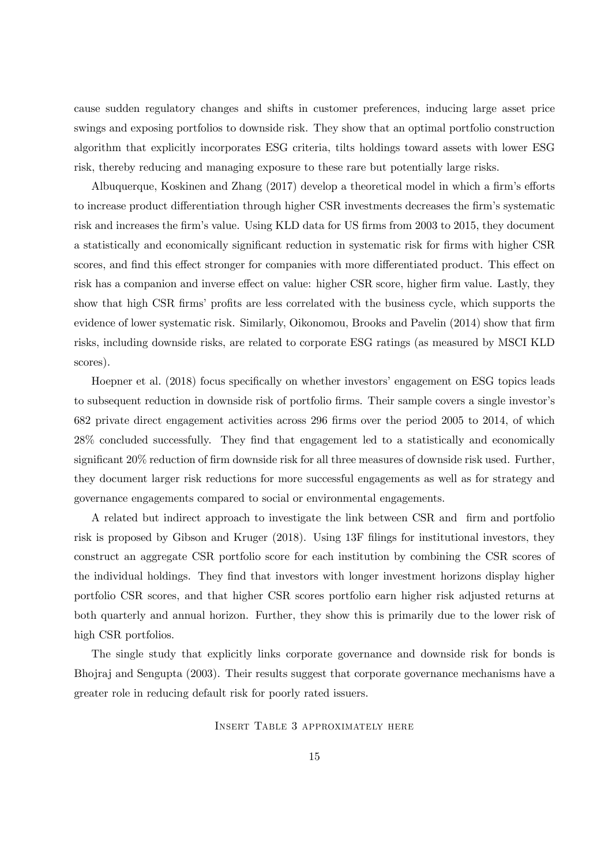cause sudden regulatory changes and shifts in customer preferences, inducing large asset price swings and exposing portfolios to downside risk. They show that an optimal portfolio construction algorithm that explicitly incorporates ESG criteria, tilts holdings toward assets with lower ESG risk, thereby reducing and managing exposure to these rare but potentially large risks.

Albuquerque, Koskinen and Zhang (2017) develop a theoretical model in which a firm's efforts to increase product differentiation through higher CSR investments decreases the firm's systematic risk and increases the firm's value. Using KLD data for US firms from 2003 to 2015, they document a statistically and economically significant reduction in systematic risk for firms with higher CSR scores, and find this effect stronger for companies with more differentiated product. This effect on risk has a companion and inverse effect on value: higher CSR score, higher firm value. Lastly, they show that high CSR firms' profits are less correlated with the business cycle, which supports the evidence of lower systematic risk. Similarly, Oikonomou, Brooks and Pavelin (2014) show that firm risks, including downside risks, are related to corporate ESG ratings (as measured by MSCI KLD scores).

Hoepner et al (2018) focus specifically on whether investors' engagement on ESG topics leads to subsequent reduction in downside risk of portfolio firms. Their sample covers a single investor's 682 private direct engagement activities across 296 firms over the period 2005 to 2014, of which 28% concluded successfully. They find that engagement led to a statistically and economically significant 20% reduction of firm downside risk for all three measures of downside risk used. Further, they document larger risk reductions for more successful engagements as well as for strategy and governance engagements compared to social or environmental engagements.

A related but indirect approach to investigate the link between CSR and firm and portfolio risk is proposed by Gibson and Kruger (2018). Using 13F filings for institutional investors, they construct an aggregate CSR portfolio score for each institution by combining the CSR scores of the individual holdings. They find that investors with longer investment horizons display higher portfolio CSR scores, and that higher CSR scores portfolio earn higher risk adjusted returns at both quarterly and annual horizon. Further, they show this is primarily due to the lower risk of high CSR portfolios.

The single study that explicitly links corporate governance and downside risk for bonds is Bhojraj and Sengupta (2003). Their results suggest that corporate governance mechanisms have a greater role in reducing default risk for poorly rated issuers.

Insert Table 3 approximately here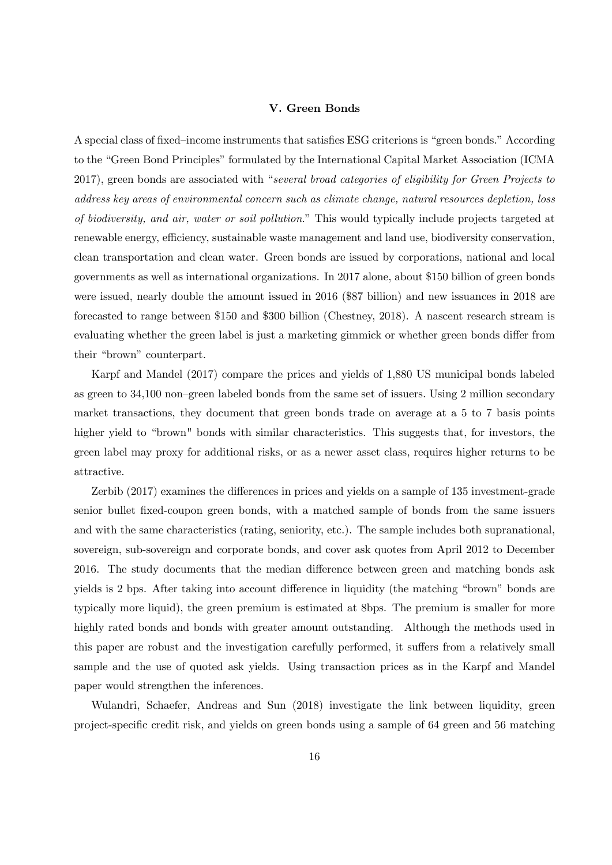#### V. Green Bonds

A special class of fixed—income instruments that satisfies ESG criterions is "green bonds." According to the "Green Bond Principles" formulated by the International Capital Market Association (ICMA 2017), green bonds are associated with "several broad categories of eligibility for Green Projects to address key areas of environmental concern such as climate change, natural resources depletion, loss of biodiversity, and air, water or soil pollution." This would typically include projects targeted at renewable energy, efficiency, sustainable waste management and land use, biodiversity conservation, clean transportation and clean water. Green bonds are issued by corporations, national and local governments as well as international organizations. In 2017 alone, about \$150 billion of green bonds were issued, nearly double the amount issued in 2016 (\$87 billion) and new issuances in 2018 are forecasted to range between \$150 and \$300 billion (Chestney, 2018). A nascent research stream is evaluating whether the green label is just a marketing gimmick or whether green bonds differ from their "brown" counterpart.

Karpf and Mandel (2017) compare the prices and yields of 1,880 US municipal bonds labeled as green to 34,100 non—green labeled bonds from the same set of issuers. Using 2 million secondary market transactions, they document that green bonds trade on average at a 5 to 7 basis points higher yield to "brown" bonds with similar characteristics. This suggests that, for investors, the green label may proxy for additional risks, or as a newer asset class, requires higher returns to be attractive.

Zerbib (2017) examines the differences in prices and yields on a sample of 135 investment-grade senior bullet fixed-coupon green bonds, with a matched sample of bonds from the same issuers and with the same characteristics (rating, seniority, etc.). The sample includes both supranational, sovereign, sub-sovereign and corporate bonds, and cover ask quotes from April 2012 to December 2016. The study documents that the median difference between green and matching bonds ask yields is 2 bps. After taking into account difference in liquidity (the matching "brown" bonds are typically more liquid), the green premium is estimated at 8bps. The premium is smaller for more highly rated bonds and bonds with greater amount outstanding. Although the methods used in this paper are robust and the investigation carefully performed, it suffers from a relatively small sample and the use of quoted ask yields. Using transaction prices as in the Karpf and Mandel paper would strengthen the inferences.

Wulandri, Schaefer, Andreas and Sun (2018) investigate the link between liquidity, green project-specific credit risk, and yields on green bonds using a sample of 64 green and 56 matching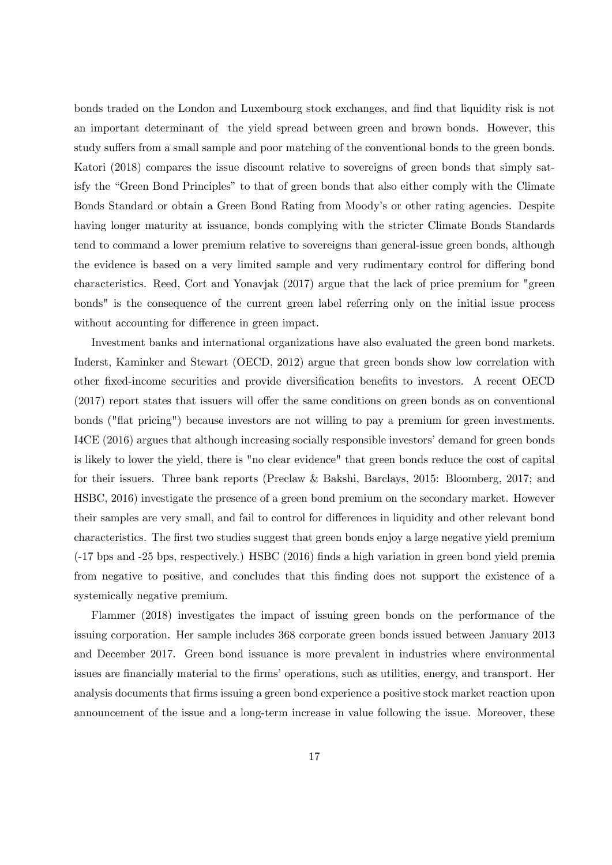bonds traded on the London and Luxembourg stock exchanges, and find that liquidity risk is not an important determinant of the yield spread between green and brown bonds. However, this study suffers from a small sample and poor matching of the conventional bonds to the green bonds. Katori (2018) compares the issue discount relative to sovereigns of green bonds that simply satisfy the "Green Bond Principles" to that of green bonds that also either comply with the Climate Bonds Standard or obtain a Green Bond Rating from Moody's or other rating agencies. Despite having longer maturity at issuance, bonds complying with the stricter Climate Bonds Standards tend to command a lower premium relative to sovereigns than general-issue green bonds, although the evidence is based on a very limited sample and very rudimentary control for differing bond characteristics. Reed, Cort and Yonavjak (2017) argue that the lack of price premium for "green bonds" is the consequence of the current green label referring only on the initial issue process without accounting for difference in green impact.

Investment banks and international organizations have also evaluated the green bond markets. Inderst, Kaminker and Stewart (OECD, 2012) argue that green bonds show low correlation with other fixed-income securities and provide diversification benefits to investors. A recent OECD (2017) report states that issuers will offer the same conditions on green bonds as on conventional bonds ("flat pricing") because investors are not willing to pay a premium for green investments. I4CE (2016) argues that although increasing socially responsible investors' demand for green bonds is likely to lower the yield, there is "no clear evidence" that green bonds reduce the cost of capital for their issuers. Three bank reports (Preclaw & Bakshi, Barclays, 2015: Bloomberg, 2017; and HSBC, 2016) investigate the presence of a green bond premium on the secondary market. However their samples are very small, and fail to control for differences in liquidity and other relevant bond characteristics. The first two studies suggest that green bonds enjoy a large negative yield premium (-17 bps and -25 bps, respectively.) HSBC (2016) finds a high variation in green bond yield premia from negative to positive, and concludes that this finding does not support the existence of a systemically negative premium.

Flammer (2018) investigates the impact of issuing green bonds on the performance of the issuing corporation. Her sample includes 368 corporate green bonds issued between January 2013 and December 2017. Green bond issuance is more prevalent in industries where environmental issues are financially material to the firms' operations, such as utilities, energy, and transport. Her analysis documents that firms issuing a green bond experience a positive stock market reaction upon announcement of the issue and a long-term increase in value following the issue. Moreover, these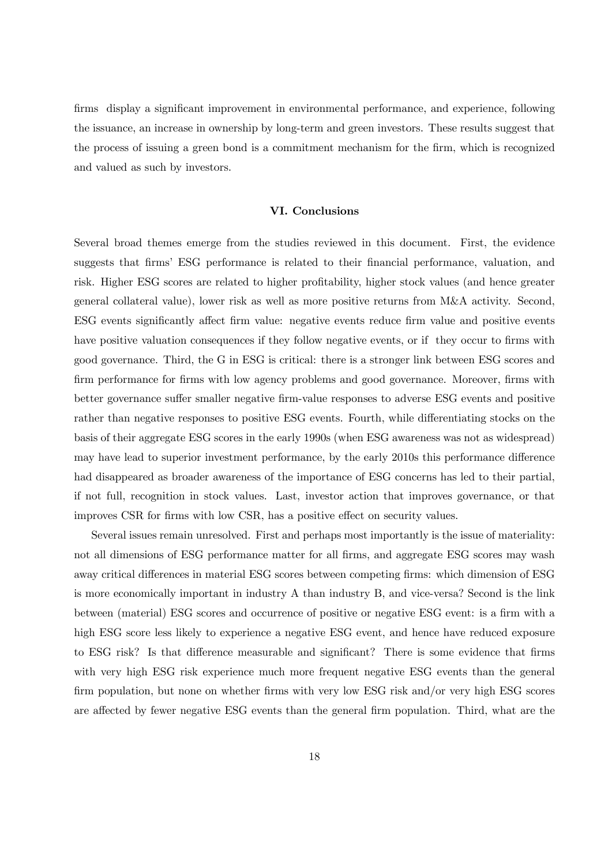firms display a significant improvement in environmental performance, and experience, following the issuance, an increase in ownership by long-term and green investors. These results suggest that the process of issuing a green bond is a commitment mechanism for the firm, which is recognized and valued as such by investors.

# VI. Conclusions

Several broad themes emerge from the studies reviewed in this document. First, the evidence suggests that firms' ESG performance is related to their financial performance, valuation, and risk. Higher ESG scores are related to higher profitability, higher stock values (and hence greater general collateral value), lower risk as well as more positive returns from M&A activity. Second, ESG events significantly affect firm value: negative events reduce firm value and positive events have positive valuation consequences if they follow negative events, or if they occur to firms with good governance. Third, the G in ESG is critical: there is a stronger link between ESG scores and firm performance for firms with low agency problems and good governance. Moreover, firms with better governance suffer smaller negative firm-value responses to adverse ESG events and positive rather than negative responses to positive ESG events. Fourth, while differentiating stocks on the basis of their aggregate ESG scores in the early 1990s (when ESG awareness was not as widespread) may have lead to superior investment performance, by the early 2010s this performance difference had disappeared as broader awareness of the importance of ESG concerns has led to their partial, if not full, recognition in stock values. Last, investor action that improves governance, or that improves CSR for firms with low CSR, has a positive effect on security values.

Several issues remain unresolved. First and perhaps most importantly is the issue of materiality: not all dimensions of ESG performance matter for all firms, and aggregate ESG scores may wash away critical differences in material ESG scores between competing firms: which dimension of ESG is more economically important in industry A than industry B, and vice-versa? Second is the link between (material) ESG scores and occurrence of positive or negative ESG event: is a firm with a high ESG score less likely to experience a negative ESG event, and hence have reduced exposure to ESG risk? Is that difference measurable and significant? There is some evidence that firms with very high ESG risk experience much more frequent negative ESG events than the general firm population, but none on whether firms with very low ESG risk and/or very high ESG scores are affected by fewer negative ESG events than the general firm population. Third, what are the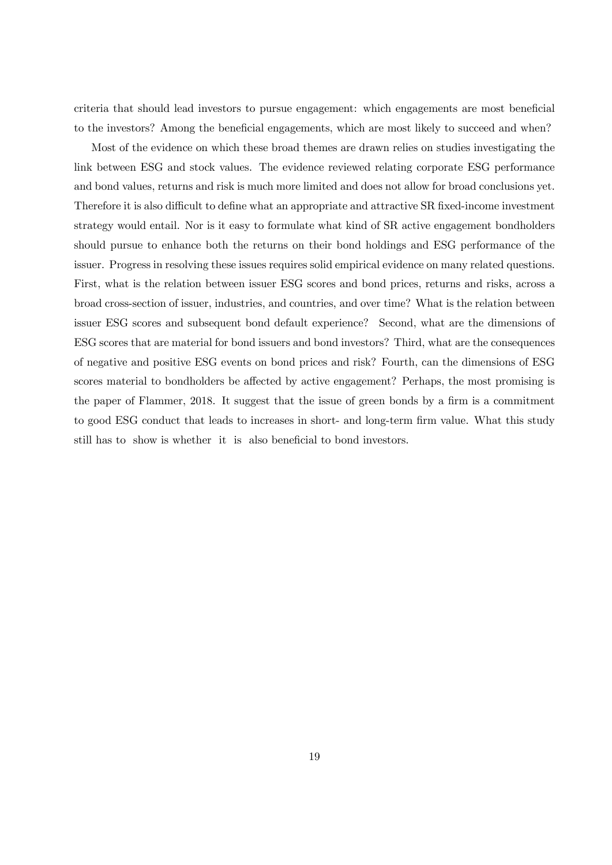criteria that should lead investors to pursue engagement: which engagements are most beneficial to the investors? Among the beneficial engagements, which are most likely to succeed and when?

Most of the evidence on which these broad themes are drawn relies on studies investigating the link between ESG and stock values. The evidence reviewed relating corporate ESG performance and bond values, returns and risk is much more limited and does not allow for broad conclusions yet. Therefore it is also difficult to define what an appropriate and attractive SR fixed-income investment strategy would entail. Nor is it easy to formulate what kind of SR active engagement bondholders should pursue to enhance both the returns on their bond holdings and ESG performance of the issuer. Progress in resolving these issues requires solid empirical evidence on many related questions. First, what is the relation between issuer ESG scores and bond prices, returns and risks, across a broad cross-section of issuer, industries, and countries, and over time? What is the relation between issuer ESG scores and subsequent bond default experience? Second, what are the dimensions of ESG scores that are material for bond issuers and bond investors? Third, what are the consequences of negative and positive ESG events on bond prices and risk? Fourth, can the dimensions of ESG scores material to bondholders be affected by active engagement? Perhaps, the most promising is the paper of Flammer, 2018. It suggest that the issue of green bonds by a firm is a commitment to good ESG conduct that leads to increases in short- and long-term firm value. What this study still has to show is whether it is also beneficial to bond investors.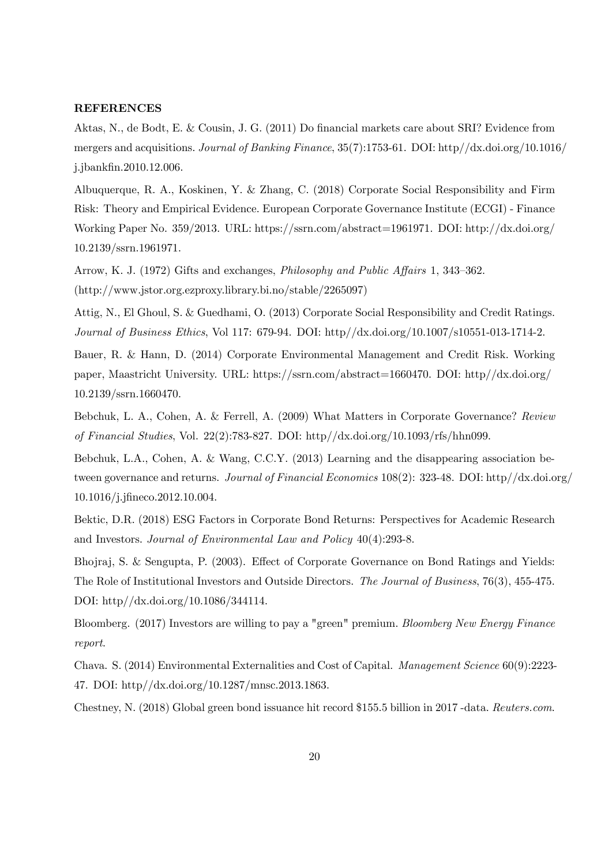## REFERENCES

Aktas, N., de Bodt, E. & Cousin, J. G. (2011) Do financial markets care about SRI? Evidence from mergers and acquisitions. Journal of Banking Finance, 35(7):1753-61. DOI: http//dx.doi.org/10.1016/ j.jbankfin.2010.12.006.

Albuquerque, R. A., Koskinen, Y. & Zhang, C. (2018) Corporate Social Responsibility and Firm Risk: Theory and Empirical Evidence. European Corporate Governance Institute (ECGI) - Finance Working Paper No. 359/2013. URL: https://ssrn.com/abstract=1961971. DOI: http://dx.doi.org/ 10.2139/ssrn.1961971.

Arrow, K. J. (1972) Gifts and exchanges, Philosophy and Public Affairs 1, 343—362. (http://www.jstor.org.ezproxy.library.bi.no/stable/2265097)

Attig, N., El Ghoul, S. & Guedhami, O. (2013) Corporate Social Responsibility and Credit Ratings. Journal of Business Ethics, Vol 117: 679-94. DOI: http//dx.doi.org/10.1007/s10551-013-1714-2.

Bauer, R. & Hann, D. (2014) Corporate Environmental Management and Credit Risk. Working paper, Maastricht University. URL: https://ssrn.com/abstract=1660470. DOI: http//dx.doi.org/ 10.2139/ssrn.1660470.

Bebchuk, L. A., Cohen, A. & Ferrell, A. (2009) What Matters in Corporate Governance? Review of Financial Studies, Vol. 22(2):783-827. DOI: http//dx.doi.org/10.1093/rfs/hhn099.

Bebchuk, L.A., Cohen, A. & Wang, C.C.Y. (2013) Learning and the disappearing association between governance and returns. Journal of Financial Economics 108(2): 323-48. DOI: http//dx.doi.org/ 10.1016/j.jfineco.2012.10.004.

Bektic, D.R. (2018) ESG Factors in Corporate Bond Returns: Perspectives for Academic Research and Investors. Journal of Environmental Law and Policy 40(4):293-8.

Bhojraj, S. & Sengupta, P. (2003). Effect of Corporate Governance on Bond Ratings and Yields: The Role of Institutional Investors and Outside Directors. The Journal of Business, 76(3), 455-475. DOI: http//dx.doi.org/10.1086/344114.

Bloomberg. (2017) Investors are willing to pay a "green" premium. Bloomberg New Energy Finance report.

Chava. S. (2014) Environmental Externalities and Cost of Capital. Management Science 60(9):2223- 47. DOI: http//dx.doi.org/10.1287/mnsc.2013.1863.

Chestney, N. (2018) Global green bond issuance hit record \$155.5 billion in 2017 -data. Reuters.com.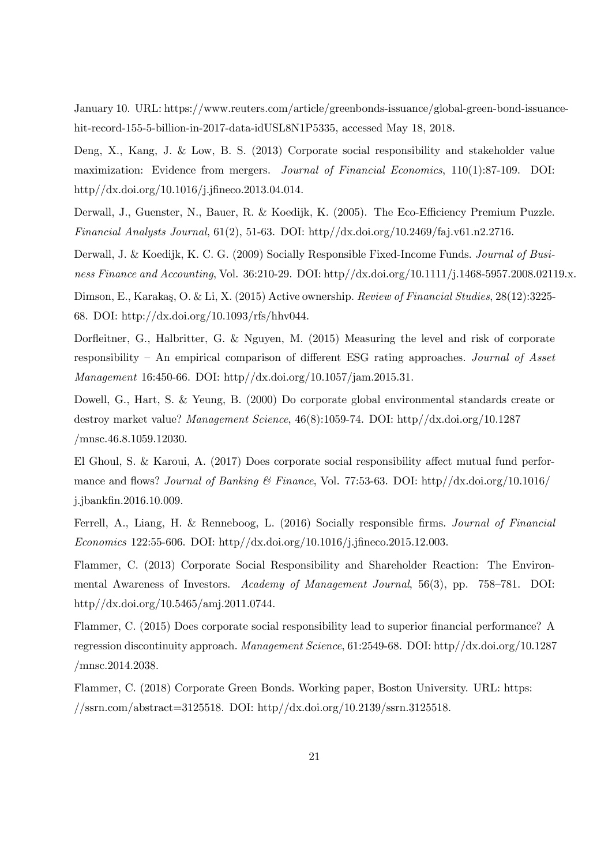January 10. URL: https://www.reuters.com/article/greenbonds-issuance/global-green-bond-issuancehit-record-155-5-billion-in-2017-data-idUSL8N1P5335, accessed May 18, 2018.

Deng, X., Kang, J. & Low, B. S. (2013) Corporate social responsibility and stakeholder value maximization: Evidence from mergers. Journal of Financial Economics, 110(1):87-109. DOI: http//dx.doi.org/10.1016/j.jfineco.2013.04.014.

Derwall, J., Guenster, N., Bauer, R. & Koedijk, K. (2005). The Eco-Efficiency Premium Puzzle. Financial Analysts Journal,  $61(2)$ , 51-63. DOI: http//dx.doi.org/10.2469/faj.v61.n2.2716.

Derwall, J. & Koedijk, K. C. G. (2009) Socially Responsible Fixed-Income Funds. Journal of Business Finance and Accounting, Vol. 36:210-29. DOI: http://dx.doi.org/10.1111/j.1468-5957.2008.02119.x.

Dimson, E., Karakaş, O. & Li, X. (2015) Active ownership. Review of Financial Studies, 28(12):3225-68. DOI: http://dx.doi.org/10.1093/rfs/hhv044.

Dorfleitner, G., Halbritter, G. & Nguyen, M. (2015) Measuring the level and risk of corporate responsibility — An empirical comparison of different ESG rating approaches. Journal of Asset Management 16:450-66. DOI: http//dx.doi.org/10.1057/jam.2015.31.

Dowell, G., Hart, S. & Yeung, B. (2000) Do corporate global environmental standards create or destroy market value? Management Science, 46(8):1059-74. DOI: http//dx.doi.org/10.1287 /mnsc.46.8.1059.12030.

El Ghoul, S. & Karoui, A. (2017) Does corporate social responsibility affect mutual fund performance and flows? Journal of Banking  $\mathcal C$  Finance, Vol. 77:53-63. DOI: http://dx.doi.org/10.1016/ j.jbankfin.2016.10.009.

Ferrell, A., Liang, H. & Renneboog, L. (2016) Socially responsible firms. Journal of Financial Economics 122:55-606. DOI: http//dx.doi.org/10.1016/j.jfineco.2015.12.003.

Flammer, C. (2013) Corporate Social Responsibility and Shareholder Reaction: The Environmental Awareness of Investors. Academy of Management Journal, 56(3), pp. 758—781. DOI: http//dx.doi.org/10.5465/amj.2011.0744.

Flammer, C. (2015) Does corporate social responsibility lead to superior financial performance? A regression discontinuity approach. Management Science, 61:2549-68. DOI: http//dx.doi.org/10.1287 /mnsc.2014.2038.

Flammer, C. (2018) Corporate Green Bonds. Working paper, Boston University. URL: https: //ssrn.com/abstract=3125518. DOI: http//dx.doi.org/10.2139/ssrn.3125518.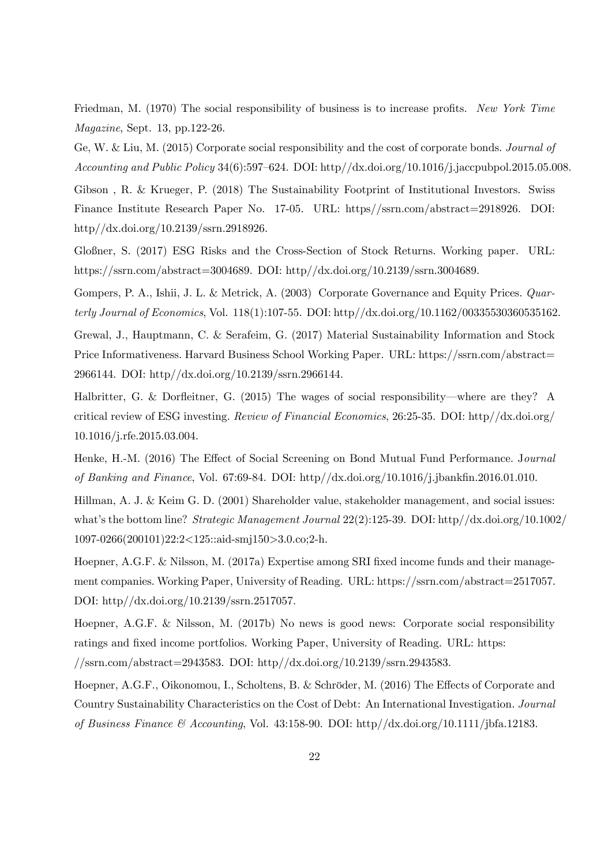Friedman, M. (1970) The social responsibility of business is to increase profits. New York Time Magazine, Sept. 13, pp.122-26.

Ge, W. & Liu, M. (2015) Corporate social responsibility and the cost of corporate bonds. Journal of Accounting and Public Policy 34(6):597—624. DOI: http//dx.doi.org/10.1016/j.jaccpubpol.2015.05.008.

Gibson , R. & Krueger, P. (2018) The Sustainability Footprint of Institutional Investors. Swiss Finance Institute Research Paper No. 17-05. URL: https//ssrn.com/abstract=2918926. DOI: http//dx.doi.org/10.2139/ssrn.2918926.

Gloßner, S. (2017) ESG Risks and the Cross-Section of Stock Returns. Working paper. URL: https://ssrn.com/abstract=3004689. DOI: http//dx.doi.org/10.2139/ssrn.3004689.

Gompers, P. A., Ishii, J. L. & Metrick, A. (2003) Corporate Governance and Equity Prices. Quarterly Journal of Economics, Vol. 118(1):107-55. DOI: http//dx.doi.org/10.1162/00335530360535162.

Grewal, J., Hauptmann, C. & Serafeim, G. (2017) Material Sustainability Information and Stock Price Informativeness. Harvard Business School Working Paper. URL: https://ssrn.com/abstract= 2966144. DOI: http//dx.doi.org/10.2139/ssrn.2966144.

Halbritter, G. & Dorfleitner, G. (2015) The wages of social responsibility–where are they? A critical review of ESG investing. Review of Financial Economics, 26:25-35. DOI: http//dx.doi.org/ 10.1016/j.rfe.2015.03.004.

Henke, H.-M. (2016) The Effect of Social Screening on Bond Mutual Fund Performance. Journal of Banking and Finance, Vol. 67:69-84. DOI: http//dx.doi.org/10.1016/j.jbankfin.2016.01.010.

Hillman, A. J. & Keim G. D. (2001) Shareholder value, stakeholder management, and social issues: what's the bottom line? Strategic Management Journal 22(2):125-39. DOI: http//dx.doi.org/10.1002/ 1097-0266(200101)22:2<125::aid-smj150>3.0.co;2-h.

Hoepner, A.G.F. & Nilsson, M. (2017a) Expertise among SRI fixed income funds and their management companies. Working Paper, University of Reading. URL: https://ssrn.com/abstract=2517057. DOI: http//dx.doi.org/10.2139/ssrn.2517057.

Hoepner, A.G.F. & Nilsson, M. (2017b) No news is good news: Corporate social responsibility ratings and fixed income portfolios. Working Paper, University of Reading. URL: https: //ssrn.com/abstract=2943583. DOI: http//dx.doi.org/10.2139/ssrn.2943583.

Hoepner, A.G.F., Oikonomou, I., Scholtens, B. & Schröder, M. (2016) The Effects of Corporate and Country Sustainability Characteristics on the Cost of Debt: An International Investigation. Journal of Business Finance & Accounting, Vol. 43:158-90. DOI: http//dx.doi.org/10.1111/jbfa.12183.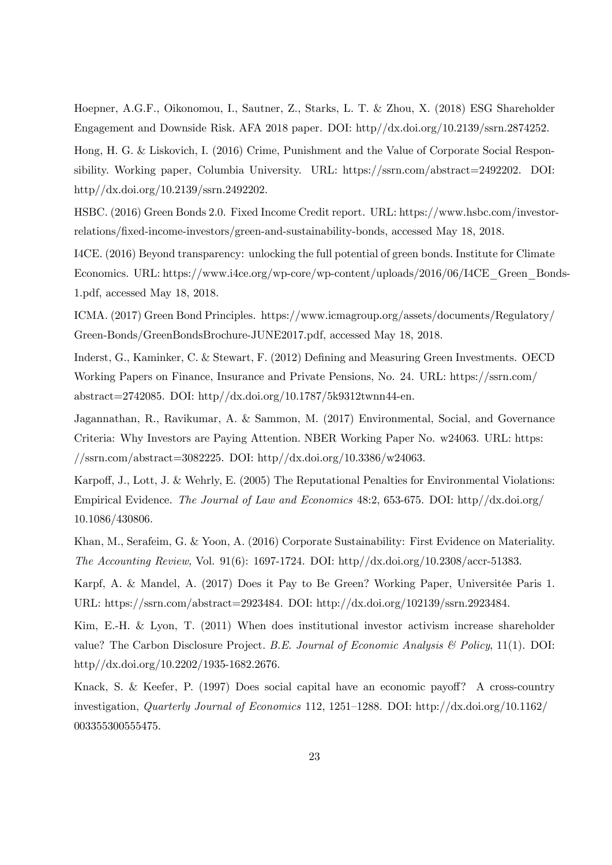Hoepner, A.G.F., Oikonomou, I., Sautner, Z., Starks, L. T. & Zhou, X. (2018) ESG Shareholder Engagement and Downside Risk. AFA 2018 paper. DOI: http//dx.doi.org/10.2139/ssrn.2874252.

Hong, H. G. & Liskovich, I. (2016) Crime, Punishment and the Value of Corporate Social Responsibility. Working paper, Columbia University. URL: https://ssrn.com/abstract=2492202. DOI: http//dx.doi.org/10.2139/ssrn.2492202.

HSBC. (2016) Green Bonds 2.0. Fixed Income Credit report. URL: https://www.hsbc.com/investorrelations/fixed-income-investors/green-and-sustainability-bonds, accessed May 18, 2018.

I4CE. (2016) Beyond transparency: unlocking the full potential of green bonds. Institute for Climate Economics. URL: https://www.i4ce.org/wp-core/wp-content/uploads/2016/06/I4CE\_Green\_Bonds-1.pdf, accessed May 18, 2018.

ICMA. (2017) Green Bond Principles. https://www.icmagroup.org/assets/documents/Regulatory/ Green-Bonds/GreenBondsBrochure-JUNE2017.pdf, accessed May 18, 2018.

Inderst, G., Kaminker, C. & Stewart, F. (2012) Defining and Measuring Green Investments. OECD Working Papers on Finance, Insurance and Private Pensions, No. 24. URL: https://ssrn.com/ abstract=2742085. DOI: http//dx.doi.org/10.1787/5k9312twnn44-en.

Jagannathan, R., Ravikumar, A. & Sammon, M. (2017) Environmental, Social, and Governance Criteria: Why Investors are Paying Attention. NBER Working Paper No. w24063. URL: https:  $\frac{\text{N}}{\text{S}}$ srn.com/abstract=3082225. DOI: http://dx.doi.org/10.3386/w24063.

Karpoff, J., Lott, J. & Wehrly, E. (2005) The Reputational Penalties for Environmental Violations: Empirical Evidence. The Journal of Law and Economics 48:2, 653-675. DOI: http//dx.doi.org/ 10.1086/430806.

Khan, M., Serafeim, G. & Yoon, A. (2016) Corporate Sustainability: First Evidence on Materiality. The Accounting Review, Vol. 91(6): 1697-1724. DOI: http//dx.doi.org/10.2308/accr-51383.

Karpf, A. & Mandel, A. (2017) Does it Pay to Be Green? Working Paper, Universitée Paris 1. URL: https://ssrn.com/abstract=2923484. DOI: http://dx.doi.org/102139/ssrn.2923484.

Kim, E.-H. & Lyon, T. (2011) When does institutional investor activism increase shareholder value? The Carbon Disclosure Project. B.E. Journal of Economic Analysis & Policy, 11(1). DOI: http//dx.doi.org/10.2202/1935-1682.2676.

Knack, S. & Keefer, P. (1997) Does social capital have an economic payoff? A cross-country investigation, Quarterly Journal of Economics 112, 1251—1288. DOI: http://dx.doi.org/10.1162/ 003355300555475.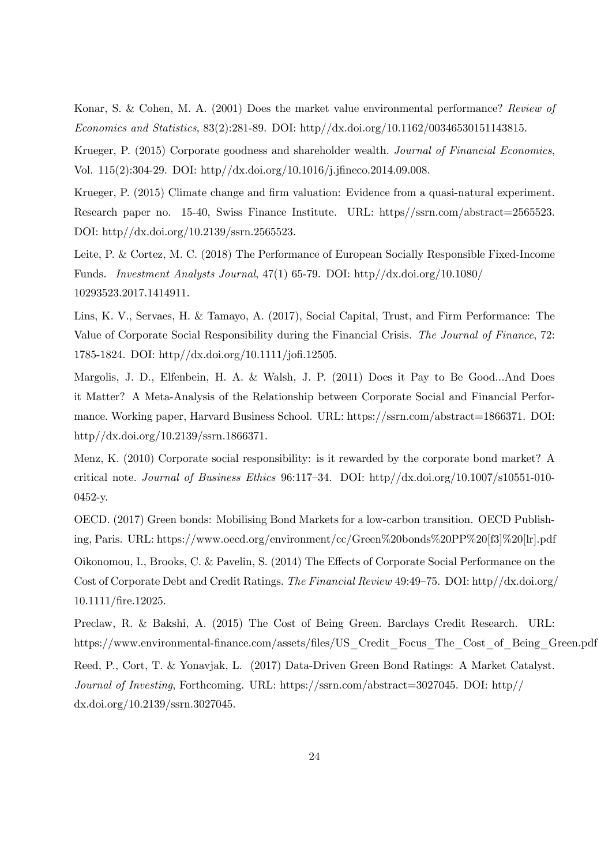Konar, S. & Cohen, M. A. (2001) Does the market value environmental performance? Review of Economics and Statistics, 83(2):281-89. DOI: http//dx.doi.org/10.1162/00346530151143815.

Krueger, P. (2015) Corporate goodness and shareholder wealth. Journal of Financial Economics, Vol. 115(2):304-29. DOI: http//dx.doi.org/10.1016/j.jfineco.2014.09.008.

Krueger, P. (2015) Climate change and firm valuation: Evidence from a quasi-natural experiment. Research paper no. 15-40, Swiss Finance Institute. URL: https//ssrn.com/abstract=2565523. DOI: http//dx.doi.org/10.2139/ssrn.2565523.

Leite, P. & Cortez, M. C. (2018) The Performance of European Socially Responsible Fixed-Income Funds. Investment Analysts Journal, 47(1) 65-79. DOI: http//dx.doi.org/10.1080/ 10293523.2017.1414911.

Lins, K. V., Servaes, H. & Tamayo, A. (2017), Social Capital, Trust, and Firm Performance: The Value of Corporate Social Responsibility during the Financial Crisis. The Journal of Finance, 72: 1785-1824. DOI: http//dx.doi.org/10.1111/jofi.12505.

Margolis, J. D., Elfenbein, H. A. & Walsh, J. P. (2011) Does it Pay to Be Good...And Does it Matter? A Meta-Analysis of the Relationship between Corporate Social and Financial Performance. Working paper, Harvard Business School. URL: https://ssrn.com/abstract=1866371. DOI: http//dx.doi.org/10.2139/ssrn.1866371.

Menz, K. (2010) Corporate social responsibility: is it rewarded by the corporate bond market? A critical note. Journal of Business Ethics 96:117—34. DOI: http//dx.doi.org/10.1007/s10551-010- 0452-y.

OECD. (2017) Green bonds: Mobilising Bond Markets for a low-carbon transition. OECD Publishing, Paris. URL: https://www.oecd.org/environment/cc/Green%20bonds%20PP%20[f3]%20[lr].pdf

Oikonomou, I., Brooks, C. & Pavelin, S. (2014) The Effects of Corporate Social Performance on the Cost of Corporate Debt and Credit Ratings. The Financial Review 49:49—75. DOI: http//dx.doi.org/ 10.1111/fire.12025.

Preclaw, R. & Bakshi, A. (2015) The Cost of Being Green. Barclays Credit Research. URL: https://www.environmental-finance.com/assets/files/US\_Credit\_Focus\_The\_Cost\_of\_Being\_Green.pdf

Reed, P., Cort, T. & Yonavjak, L. (2017) Data-Driven Green Bond Ratings: A Market Catalyst. Journal of Investing, Forthcoming. URL: https://ssrn.com/abstract=3027045. DOI: http// dx.doi.org/10.2139/ssrn.3027045.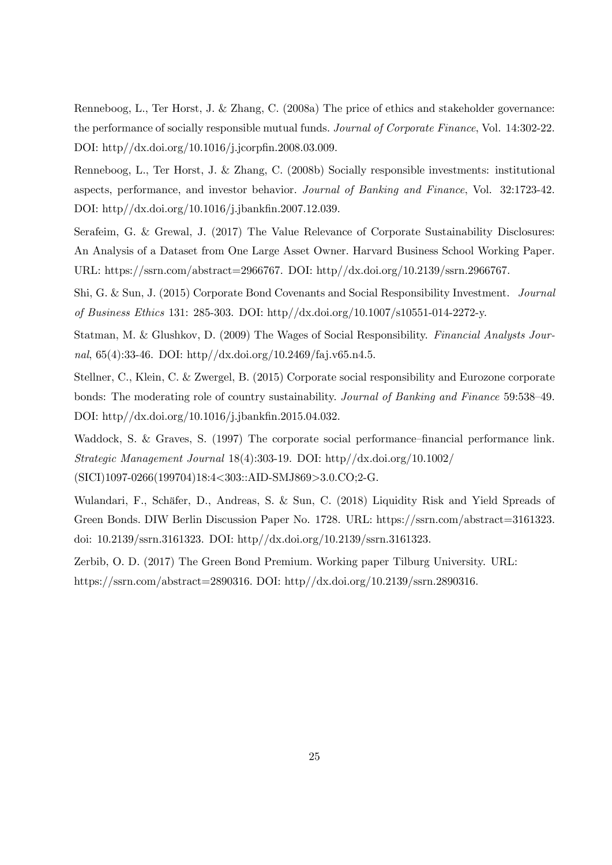Renneboog, L., Ter Horst, J. & Zhang, C. (2008a) The price of ethics and stakeholder governance: the performance of socially responsible mutual funds. Journal of Corporate Finance, Vol. 14:302-22. DOI: http//dx.doi.org/10.1016/j.jcorpfin.2008.03.009.

Renneboog, L., Ter Horst, J. & Zhang, C. (2008b) Socially responsible investments: institutional aspects, performance, and investor behavior. Journal of Banking and Finance, Vol. 32:1723-42. DOI: http//dx.doi.org/10.1016/j.jbankfin.2007.12.039.

Serafeim, G. & Grewal, J. (2017) The Value Relevance of Corporate Sustainability Disclosures: An Analysis of a Dataset from One Large Asset Owner. Harvard Business School Working Paper. URL: https://ssrn.com/abstract=2966767. DOI: http//dx.doi.org/10.2139/ssrn.2966767.

Shi, G. & Sun, J. (2015) Corporate Bond Covenants and Social Responsibility Investment. Journal of Business Ethics 131: 285-303. DOI: http//dx.doi.org/10.1007/s10551-014-2272-y.

Statman, M. & Glushkov, D. (2009) The Wages of Social Responsibility. Financial Analysts Journal, 65(4):33-46. DOI: http//dx.doi.org/10.2469/faj.v65.n4.5.

Stellner, C., Klein, C. & Zwergel, B. (2015) Corporate social responsibility and Eurozone corporate bonds: The moderating role of country sustainability. Journal of Banking and Finance 59:538—49. DOI: http//dx.doi.org/10.1016/j.jbankfin.2015.04.032.

Waddock, S. & Graves, S. (1997) The corporate social performance–financial performance link. Strategic Management Journal 18(4):303-19. DOI: http//dx.doi.org/10.1002/ (SICI)1097-0266(199704)18:4<303::AID-SMJ869>3.0.CO;2-G.

Wulandari, F., Schäfer, D., Andreas, S. & Sun, C. (2018) Liquidity Risk and Yield Spreads of Green Bonds. DIW Berlin Discussion Paper No. 1728. URL: https://ssrn.com/abstract=3161323. doi: 10.2139/ssrn.3161323. DOI: http//dx.doi.org/10.2139/ssrn.3161323.

Zerbib, O. D. (2017) The Green Bond Premium. Working paper Tilburg University. URL: https://ssrn.com/abstract=2890316. DOI: http//dx.doi.org/10.2139/ssrn.2890316.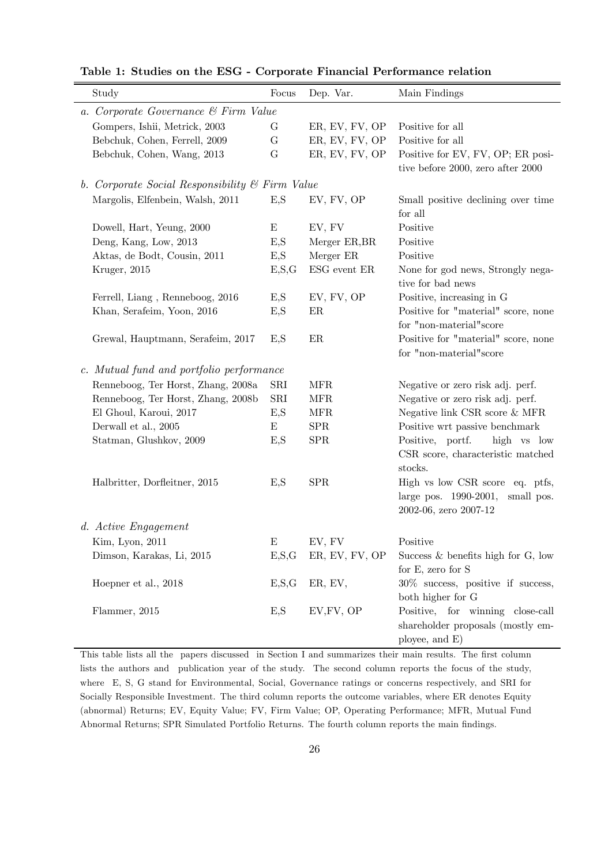| Study                                           | Focus     | Dep. Var.      | Main Findings                        |  |  |  |  |
|-------------------------------------------------|-----------|----------------|--------------------------------------|--|--|--|--|
| a. Corporate Governance & Firm Value            |           |                |                                      |  |  |  |  |
| Gompers, Ishii, Metrick, 2003                   | G         | ER, EV, FV, OP | Positive for all                     |  |  |  |  |
| Bebchuk, Cohen, Ferrell, 2009                   | G         | ER, EV, FV, OP | Positive for all                     |  |  |  |  |
| Bebchuk, Cohen, Wang, 2013                      | G         | ER, EV, FV, OP | Positive for EV, FV, OP; ER posi-    |  |  |  |  |
|                                                 |           |                | tive before 2000, zero after 2000    |  |  |  |  |
| b. Corporate Social Responsibility & Firm Value |           |                |                                      |  |  |  |  |
| Margolis, Elfenbein, Walsh, 2011                | E,S       | EV, FV, OP     | Small positive declining over time   |  |  |  |  |
|                                                 |           |                | for all                              |  |  |  |  |
| Dowell, Hart, Yeung, 2000                       | E         | EV, FV         | Positive                             |  |  |  |  |
| Deng, Kang, Low, 2013                           | E,S       | Merger ER, BR  | Positive                             |  |  |  |  |
| Aktas, de Bodt, Cousin, 2011                    | E,S       | Merger ER      | Positive                             |  |  |  |  |
| Kruger, 2015                                    | E, S, G   | ESG event ER   | None for god news, Strongly nega-    |  |  |  |  |
|                                                 |           |                | tive for bad news                    |  |  |  |  |
| Ferrell, Liang, Renneboog, 2016                 | E,S       | EV, FV, OP     | Positive, increasing in G            |  |  |  |  |
| Khan, Serafeim, Yoon, 2016                      | E,S       | ER             | Positive for "material" score, none  |  |  |  |  |
|                                                 |           |                | for "non-material" score             |  |  |  |  |
| Grewal, Hauptmann, Serafeim, 2017               | E,S       | $\rm ER$       | Positive for "material" score, none  |  |  |  |  |
|                                                 |           |                | for "non-material" score             |  |  |  |  |
| c. Mutual fund and portfolio performance        |           |                |                                      |  |  |  |  |
| Renneboog, Ter Horst, Zhang, 2008a              | SRI       | <b>MFR</b>     | Negative or zero risk adj. perf.     |  |  |  |  |
| Renneboog, Ter Horst, Zhang, 2008b              | SRI       | <b>MFR</b>     | Negative or zero risk adj. perf.     |  |  |  |  |
| El Ghoul, Karoui, 2017                          | E,S       | <b>MFR</b>     | Negative link CSR score & MFR        |  |  |  |  |
| Derwall et al., 2005                            | Ε         | <b>SPR</b>     | Positive wrt passive benchmark       |  |  |  |  |
| Statman, Glushkov, 2009                         | E,S       | <b>SPR</b>     | Positive, portf.<br>high vs low      |  |  |  |  |
|                                                 |           |                | CSR score, characteristic matched    |  |  |  |  |
|                                                 |           |                | stocks.                              |  |  |  |  |
| Halbritter, Dorfleitner, 2015                   | E,S       | <b>SPR</b>     | High vs low CSR score eq. ptfs,      |  |  |  |  |
|                                                 |           |                | large pos. 1990-2001,<br>small pos.  |  |  |  |  |
|                                                 |           |                | 2002-06, zero 2007-12                |  |  |  |  |
| d. Active Engagement                            |           |                |                                      |  |  |  |  |
| Kim, Lyon, 2011                                 | ${\bf E}$ | EV, FV         | Positive                             |  |  |  |  |
| Dimson, Karakas, Li, 2015                       | E, S, G   | ER, EV, FV, OP | Success $&$ benefits high for G, low |  |  |  |  |
|                                                 |           |                | for E, zero for S                    |  |  |  |  |
| Hoepner et al., 2018                            | E, S, G   | ER, EV,        | 30% success, positive if success,    |  |  |  |  |
|                                                 |           |                | both higher for G                    |  |  |  |  |
| Flammer, 2015                                   | E,S       | EV, FV, OP     | Positive, for winning close-call     |  |  |  |  |
|                                                 |           |                | shareholder proposals (mostly em-    |  |  |  |  |
|                                                 |           |                | ployee, and E)                       |  |  |  |  |

Table 1: Studies on the ESG - Corporate Financial Performance relation

This table lists all the papers discussed in Section I and summarizes their main results. The first column lists the authors and publication year of the study. The second column reports the focus of the study, where E, S, G stand for Environmental, Social, Governance ratings or concerns respectively, and SRI for Socially Responsible Investment. The third column reports the outcome variables, where ER denotes Equity (abnormal) Returns; EV, Equity Value; FV, Firm Value; OP, Operating Performance; MFR, Mutual Fund Abnormal Returns; SPR Simulated Portfolio Returns. The fourth column reports the main findings.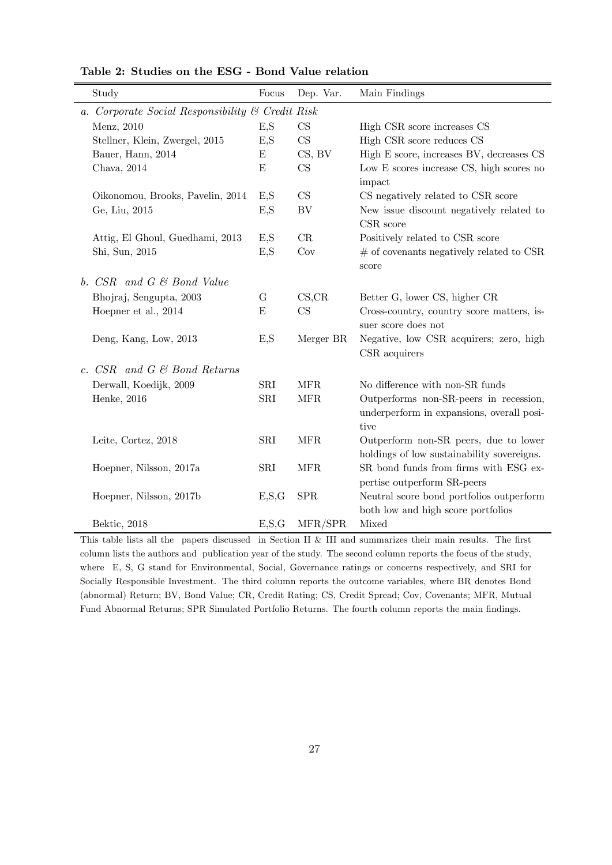| Study                                            | Focus   | Dep. Var.  | Main Findings                                                                               |  |  |  |
|--------------------------------------------------|---------|------------|---------------------------------------------------------------------------------------------|--|--|--|
| a. Corporate Social Responsibility & Credit Risk |         |            |                                                                                             |  |  |  |
| Menz, 2010                                       | E,S     | CS         | High CSR score increases CS                                                                 |  |  |  |
| Stellner, Klein, Zwergel, 2015                   | E,S     | CS         | High CSR score reduces CS                                                                   |  |  |  |
| Bauer, Hann, 2014                                | E       | CS, BV     | High E score, increases BV, decreases CS                                                    |  |  |  |
| Chava, 2014                                      | E       | CS         | Low E scores increase CS, high scores no<br>impact                                          |  |  |  |
| Oikonomou, Brooks, Pavelin, 2014                 | E,S     | CS         | CS negatively related to CSR score                                                          |  |  |  |
| Ge, Liu, 2015                                    | E,S     | BV         | New issue discount negatively related to<br>CSR score                                       |  |  |  |
| Attig, El Ghoul, Guedhami, 2013                  | E,S     | CR         | Positively related to CSR score                                                             |  |  |  |
| Shi, Sun, 2015                                   | E,S     | Cov        | $#$ of covenants negatively related to CSR<br>score                                         |  |  |  |
| b. CSR and G & Bond Value                        |         |            |                                                                                             |  |  |  |
| Bhojraj, Sengupta, 2003                          | G       | CS,CR      | Better G, lower CS, higher CR                                                               |  |  |  |
| Hoepner et al., 2014                             | E       | CS         | Cross-country, country score matters, is-<br>suer score does not                            |  |  |  |
| Deng, Kang, Low, 2013                            | E,S     | Merger BR  | Negative, low CSR acquirers; zero, high<br>CSR acquirers                                    |  |  |  |
| c. $CSR$ and $G \& Bond Returns$                 |         |            |                                                                                             |  |  |  |
| Derwall, Koedijk, 2009                           | SRI     | <b>MFR</b> | No difference with non-SR funds                                                             |  |  |  |
| Henke, 2016                                      | SRI     | <b>MFR</b> | Outperforms non-SR-peers in recession,<br>underperform in expansions, overall posi-<br>tive |  |  |  |
| Leite, Cortez, 2018                              | SRI     | <b>MFR</b> | Outperform non-SR peers, due to lower<br>holdings of low sustainability sovereigns.         |  |  |  |
| Hoepner, Nilsson, 2017a                          | SRI     | <b>MFR</b> | SR bond funds from firms with ESG ex-<br>pertise outperform SR-peers                        |  |  |  |
| Hoepner, Nilsson, 2017b                          | E, S, G | <b>SPR</b> | Neutral score bond portfolios outperform<br>both low and high score portfolios              |  |  |  |
| Bektic, 2018                                     | E, S, G | MFR/SPR    | Mixed                                                                                       |  |  |  |

Table 2: Studies on the ESG - Bond Value relation

This table lists all the papers discussed in Section II & III and summarizes their main results. The first column lists the authors and publication year of the study. The second column reports the focus of the study, where E, S, G stand for Environmental, Social, Governance ratings or concerns respectively, and SRI for Socially Responsible Investment. The third column reports the outcome variables, where BR denotes Bond (abnormal) Return; BV, Bond Value; CR, Credit Rating; CS, Credit Spread; Cov, Covenants; MFR, Mutual Fund Abnormal Returns; SPR Simulated Portfolio Returns. The fourth column reports the main findings.